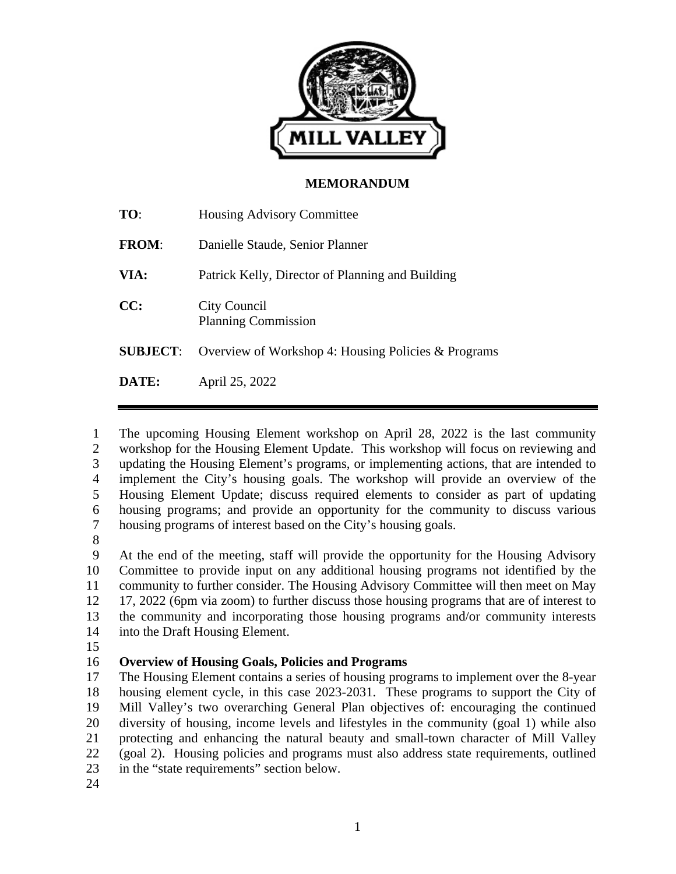

## **MEMORANDUM**

| TO:             | <b>Housing Advisory Committee</b>                   |
|-----------------|-----------------------------------------------------|
| <b>FROM:</b>    | Danielle Staude, Senior Planner                     |
| VIA:            | Patrick Kelly, Director of Planning and Building    |
| CC:             | City Council<br><b>Planning Commission</b>          |
| <b>SUBJECT:</b> | Overview of Workshop 4: Housing Policies & Programs |
| DATE:           | April 25, 2022                                      |

1 The upcoming Housing Element workshop on April 28, 2022 is the last community 2 workshop for the Housing Element Update. This workshop will focus on reviewing and 3 updating the Housing Element's programs, or implementing actions, that are intended to 4 implement the City's housing goals. The workshop will provide an overview of the 5 Housing Element Update; discuss required elements to consider as part of updating 6 housing programs; and provide an opportunity for the community to discuss various 7 housing programs of interest based on the City's housing goals.

8

9 At the end of the meeting, staff will provide the opportunity for the Housing Advisory 10 Committee to provide input on any additional housing programs not identified by the 11 community to further consider. The Housing Advisory Committee will then meet on May 12 17, 2022 (6pm via zoom) to further discuss those housing programs that are of interest to 13 the community and incorporating those housing programs and/or community interests 14 into the Draft Housing Element.

15

# 16 **Overview of Housing Goals, Policies and Programs**

17 The Housing Element contains a series of housing programs to implement over the 8-year 18 housing element cycle, in this case 2023-2031. These programs to support the City of 19 Mill Valley's two overarching General Plan objectives of: encouraging the continued 20 diversity of housing, income levels and lifestyles in the community (goal 1) while also 21 protecting and enhancing the natural beauty and small-town character of Mill Valley 22 (goal 2). Housing policies and programs must also address state requirements, outlined 23 in the "state requirements" section below. 24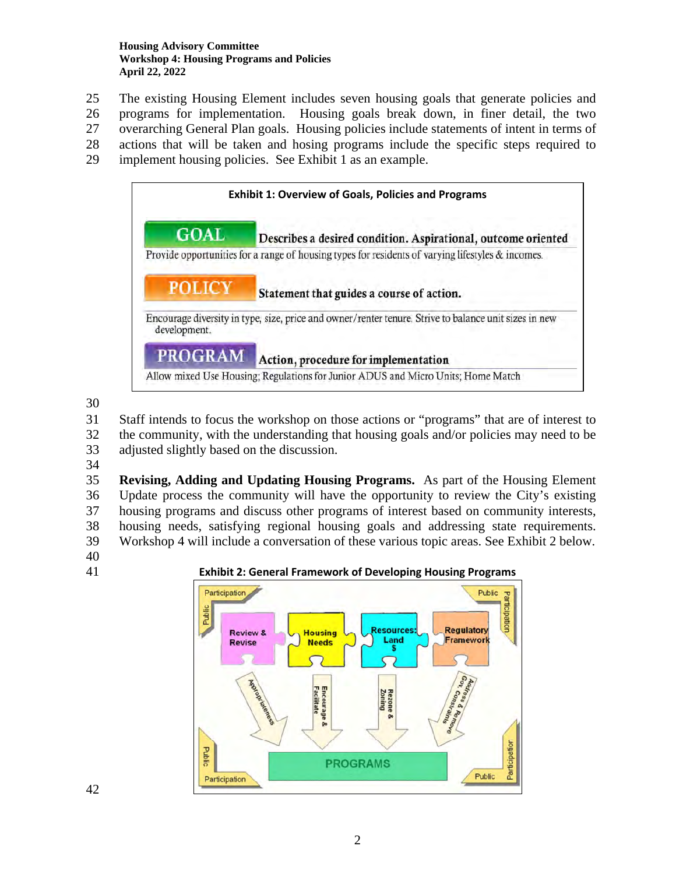#### **Housing Advisory Committee Workshop 4: Housing Programs and Policies April 22, 2022**

- 25 The existing Housing Element includes seven housing goals that generate policies and
- 26 programs for implementation. Housing goals break down, in finer detail, the two
- 27 overarching General Plan goals. Housing policies include statements of intent in terms of
- 28 actions that will be taken and hosing programs include the specific steps required to
- 29 implement housing policies. See Exhibit 1 as an example.



- 31 Staff intends to focus the workshop on those actions or "programs" that are of interest to 32 the community, with the understanding that housing goals and/or policies may need to be
- 33 adjusted slightly based on the discussion.
- 34

35 **Revising, Adding and Updating Housing Programs.** As part of the Housing Element 36 Update process the community will have the opportunity to review the City's existing 37 housing programs and discuss other programs of interest based on community interests, 38 housing needs, satisfying regional housing goals and addressing state requirements.

39 Workshop 4 will include a conversation of these various topic areas. See Exhibit 2 below.

- 40
- 

41 **Exhibit 2: General Framework of Developing Housing Programs** 



42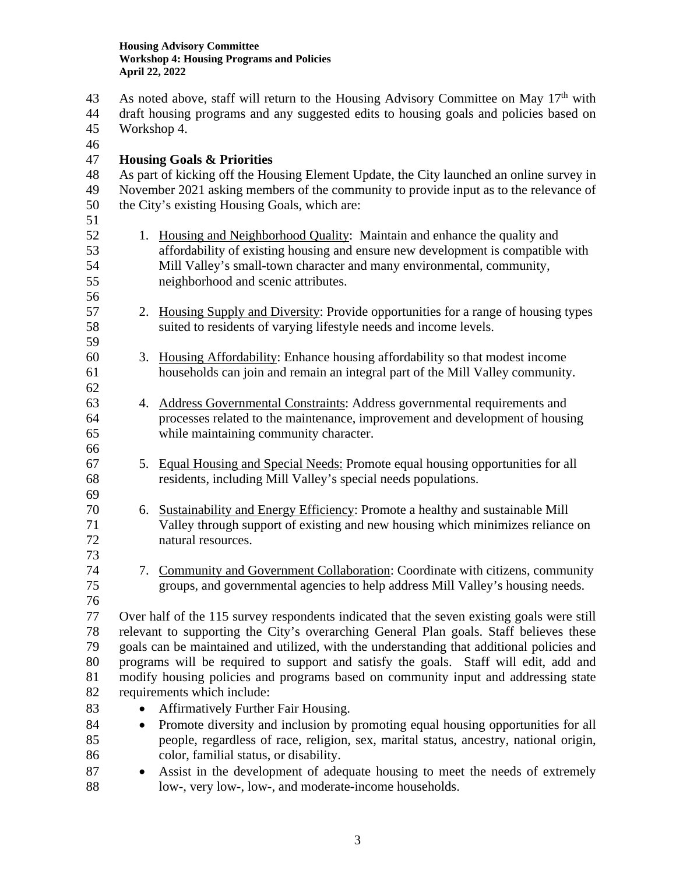- As noted above, staff will return to the Housing Advisory Committee on May  $17<sup>th</sup>$  with 44 draft housing programs and any suggested edits to housing goals and policies based on 45 Workshop 4. 46 47 **Housing Goals & Priorities**  48 As part of kicking off the Housing Element Update, the City launched an online survey in 49 November 2021 asking members of the community to provide input as to the relevance of 50 the City's existing Housing Goals, which are: 51 52 1. Housing and Neighborhood Quality: Maintain and enhance the quality and 53 affordability of existing housing and ensure new development is compatible with 54 Mill Valley's small-town character and many environmental, community, 55 neighborhood and scenic attributes. 56 57 2. Housing Supply and Diversity: Provide opportunities for a range of housing types 58 suited to residents of varying lifestyle needs and income levels. 59 60 3. Housing Affordability: Enhance housing affordability so that modest income 61 households can join and remain an integral part of the Mill Valley community. 62 63 4. Address Governmental Constraints: Address governmental requirements and 64 processes related to the maintenance, improvement and development of housing 65 while maintaining community character. 66 67 5. Equal Housing and Special Needs: Promote equal housing opportunities for all 68 residents, including Mill Valley's special needs populations. 69 70 6. Sustainability and Energy Efficiency: Promote a healthy and sustainable Mill 71 Valley through support of existing and new housing which minimizes reliance on 72 natural resources. 73 74 7. Community and Government Collaboration: Coordinate with citizens, community 75 groups, and governmental agencies to help address Mill Valley's housing needs. 76 77 Over half of the 115 survey respondents indicated that the seven existing goals were still 78 relevant to supporting the City's overarching General Plan goals. Staff believes these 79 goals can be maintained and utilized, with the understanding that additional policies and 80 programs will be required to support and satisfy the goals. Staff will edit, add and 81 modify housing policies and programs based on community input and addressing state 82 requirements which include: 83 • Affirmatively Further Fair Housing. 84 • Promote diversity and inclusion by promoting equal housing opportunities for all 85 people, regardless of race, religion, sex, marital status, ancestry, national origin, 86 color, familial status, or disability.
- 87 Assist in the development of adequate housing to meet the needs of extremely 88 low-, very low-, low-, and moderate-income households.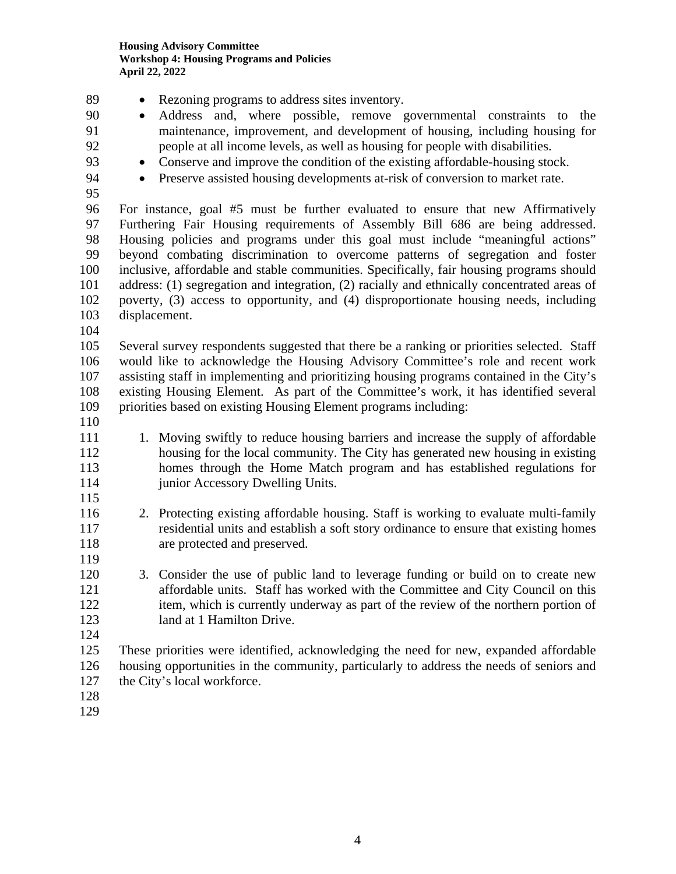| 89<br>90<br>91<br>92<br>93<br>94<br>95                  | Rezoning programs to address sites inventory.<br>Address and, where possible, remove governmental constraints to the<br>$\bullet$<br>maintenance, improvement, and development of housing, including housing for<br>people at all income levels, as well as housing for people with disabilities.<br>Conserve and improve the condition of the existing affordable-housing stock.<br>$\bullet$<br>Preserve assisted housing developments at-risk of conversion to market rate.<br>$\bullet$                                                                                                                                                  |
|---------------------------------------------------------|----------------------------------------------------------------------------------------------------------------------------------------------------------------------------------------------------------------------------------------------------------------------------------------------------------------------------------------------------------------------------------------------------------------------------------------------------------------------------------------------------------------------------------------------------------------------------------------------------------------------------------------------|
| 96<br>97<br>98<br>99<br>100<br>101<br>102<br>103<br>104 | For instance, goal #5 must be further evaluated to ensure that new Affirmatively<br>Furthering Fair Housing requirements of Assembly Bill 686 are being addressed.<br>Housing policies and programs under this goal must include "meaningful actions"<br>beyond combating discrimination to overcome patterns of segregation and foster<br>inclusive, affordable and stable communities. Specifically, fair housing programs should<br>address: (1) segregation and integration, (2) racially and ethnically concentrated areas of<br>poverty, (3) access to opportunity, and (4) disproportionate housing needs, including<br>displacement. |
| 105<br>106<br>107<br>108<br>109<br>110                  | Several survey respondents suggested that there be a ranking or priorities selected. Staff<br>would like to acknowledge the Housing Advisory Committee's role and recent work<br>assisting staff in implementing and prioritizing housing programs contained in the City's<br>existing Housing Element. As part of the Committee's work, it has identified several<br>priorities based on existing Housing Element programs including:                                                                                                                                                                                                       |
| 111<br>112<br>113<br>114<br>115                         | 1. Moving swiftly to reduce housing barriers and increase the supply of affordable<br>housing for the local community. The City has generated new housing in existing<br>homes through the Home Match program and has established regulations for<br>junior Accessory Dwelling Units.                                                                                                                                                                                                                                                                                                                                                        |
| 116<br>117<br>118<br>119                                | 2. Protecting existing affordable housing. Staff is working to evaluate multi-family<br>residential units and establish a soft story ordinance to ensure that existing homes<br>are protected and preserved.                                                                                                                                                                                                                                                                                                                                                                                                                                 |
| 120<br>121<br>122<br>123<br>124                         | 3. Consider the use of public land to leverage funding or build on to create new<br>affordable units. Staff has worked with the Committee and City Council on this<br>item, which is currently underway as part of the review of the northern portion of<br>land at 1 Hamilton Drive.                                                                                                                                                                                                                                                                                                                                                        |
| 125<br>126<br>127<br>128<br>129                         | These priorities were identified, acknowledging the need for new, expanded affordable<br>housing opportunities in the community, particularly to address the needs of seniors and<br>the City's local workforce.                                                                                                                                                                                                                                                                                                                                                                                                                             |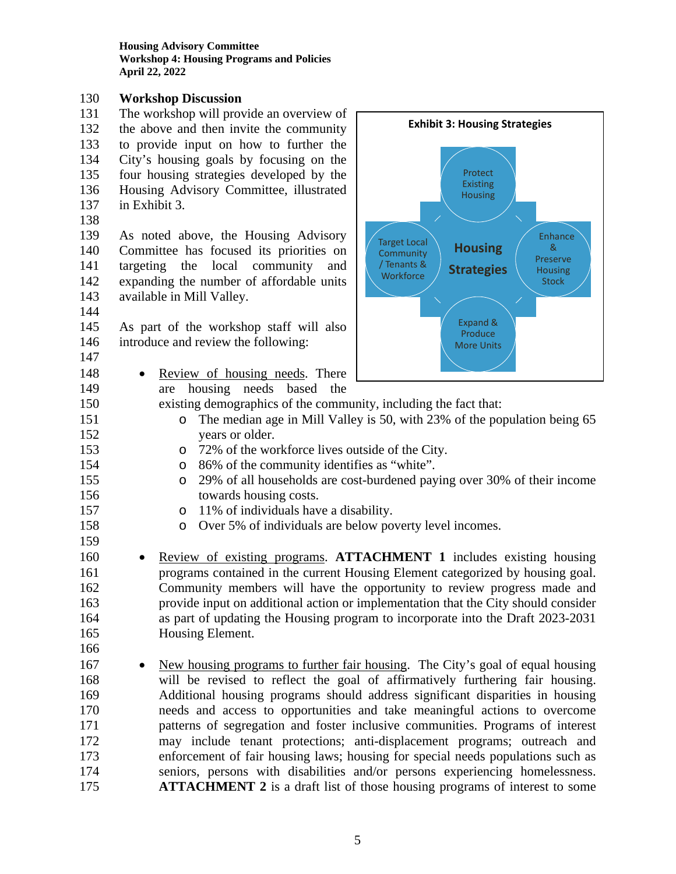**Housing Advisory Committee Workshop 4: Housing Programs and Policies April 22, 2022** 

### 130 **Workshop Discussion**

- 131 The workshop will provide an overview of 132 the above and then invite the community 133 to provide input on how to further the 134 City's housing goals by focusing on the 135 four housing strategies developed by the 136 Housing Advisory Committee, illustrated 137 in Exhibit 3.
- 138

139 As noted above, the Housing Advisory 140 Committee has focused its priorities on 141 targeting the local community and 142 expanding the number of affordable units 143 available in Mill Valley.

- 144
- 145 As part of the workshop staff will also 146 introduce and review the following:
- 147

159

148 • Review of housing needs. There

149 are housing needs based the



- 150 existing demographics of the community, including the fact that: 151 o The median age in Mill Valley is 50, with 23% of the population being 65 152 years or older.
- 153 o 72% of the workforce lives outside of the City.
- 154 o 86% of the community identifies as "white".
- 155 o 29% of all households are cost-burdened paying over 30% of their income 156 towards housing costs.
- 157 **b** 11% of individuals have a disability.
- 158 o Over 5% of individuals are below poverty level incomes.
- 160 Review of existing programs. **ATTACHMENT 1** includes existing housing 161 programs contained in the current Housing Element categorized by housing goal. 162 Community members will have the opportunity to review progress made and 163 provide input on additional action or implementation that the City should consider 164 as part of updating the Housing program to incorporate into the Draft 2023-2031 165 Housing Element. 166
- 167 New housing programs to further fair housing. The City's goal of equal housing 168 will be revised to reflect the goal of affirmatively furthering fair housing. 169 Additional housing programs should address significant disparities in housing 170 needs and access to opportunities and take meaningful actions to overcome 171 patterns of segregation and foster inclusive communities. Programs of interest 172 may include tenant protections; anti-displacement programs; outreach and 173 enforcement of fair housing laws; housing for special needs populations such as 174 seniors, persons with disabilities and/or persons experiencing homelessness. 175 **ATTACHMENT 2** is a draft list of those housing programs of interest to some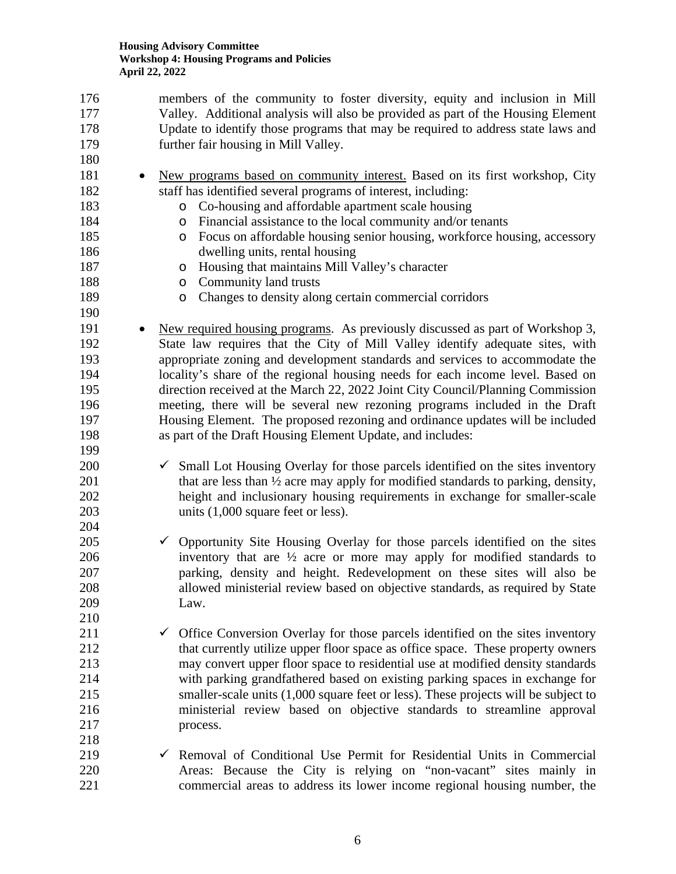176 members of the community to foster diversity, equity and inclusion in Mill 177 Valley. Additional analysis will also be provided as part of the Housing Element 178 Update to identify those programs that may be required to address state laws and 179 further fair housing in Mill Valley. 180 181 • New programs based on community interest. Based on its first workshop, City 182 staff has identified several programs of interest, including: 183 o Co-housing and affordable apartment scale housing 184 o Financial assistance to the local community and/or tenants 185 o Focus on affordable housing senior housing, workforce housing, accessory 186 dwelling units, rental housing 187 o Housing that maintains Mill Valley's character 188 o Community land trusts 189 o Changes to density along certain commercial corridors 190 191 New required housing programs. As previously discussed as part of Workshop 3, 192 State law requires that the City of Mill Valley identify adequate sites, with 193 appropriate zoning and development standards and services to accommodate the 194 locality's share of the regional housing needs for each income level. Based on 195 direction received at the March 22, 2022 Joint City Council/Planning Commission 196 meeting, there will be several new rezoning programs included in the Draft 197 Housing Element. The proposed rezoning and ordinance updates will be included 198 as part of the Draft Housing Element Update, and includes: 199  $200 \t\t\t  $\checkmark$  Small Lot Housing Overlay for those parcels identified on the sites inventory$ 201 that are less than  $\frac{1}{2}$  acre may apply for modified standards to parking, density, 202 height and inclusionary housing requirements in exchange for smaller-scale 203 units (1,000 square feet or less). 204  $205$   $\checkmark$  Opportunity Site Housing Overlay for those parcels identified on the sites 206 inventory that are ½ acre or more may apply for modified standards to 207 parking, density and height. Redevelopment on these sites will also be 208 allowed ministerial review based on objective standards, as required by State 209 Law. 210 211  $\checkmark$  Office Conversion Overlay for those parcels identified on the sites inventory 212 that currently utilize upper floor space as office space. These property owners 213 may convert upper floor space to residential use at modified density standards 214 with parking grandfathered based on existing parking spaces in exchange for 215 smaller-scale units (1,000 square feet or less). These projects will be subject to 216 ministerial review based on objective standards to streamline approval 217 process. 218 219  $\checkmark$  Removal of Conditional Use Permit for Residential Units in Commercial 220 Areas: Because the City is relying on "non-vacant" sites mainly in 221 commercial areas to address its lower income regional housing number, the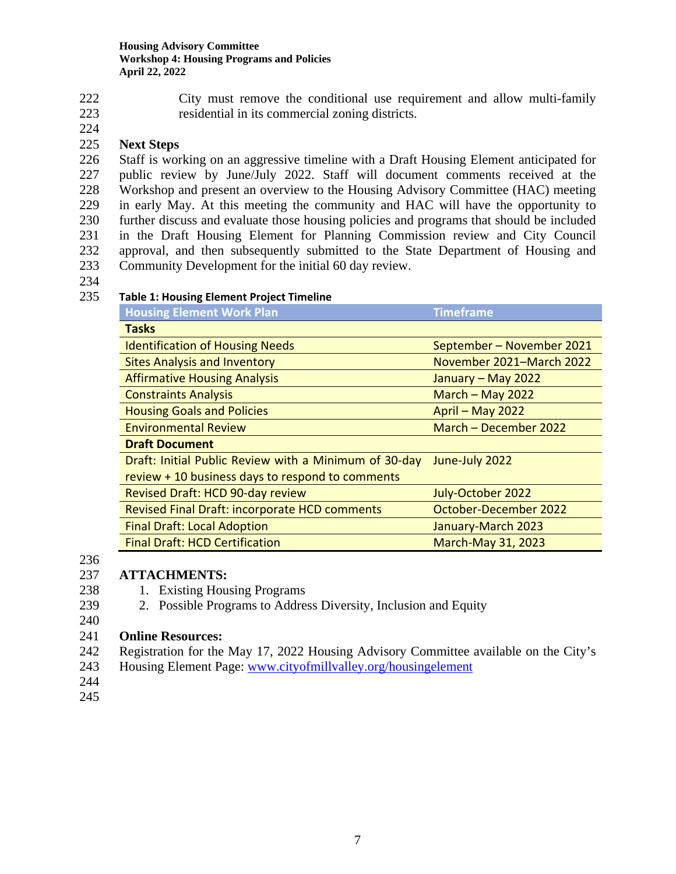222 City must remove the conditional use requirement and allow multi-family

223 residential in its commercial zoning districts.

# 224

# 225 **Next Steps**

226 Staff is working on an aggressive timeline with a Draft Housing Element anticipated for 227 public review by June/July 2022. Staff will document comments received at the 228 Workshop and present an overview to the Housing Advisory Committee (HAC) meeting 229 in early May. At this meeting the community and HAC will have the opportunity to 230 further discuss and evaluate those housing policies and programs that should be included 231 in the Draft Housing Element for Planning Commission review and City Council 232 approval, and then subsequently submitted to the State Department of Housing and 233 Community Development for the initial 60 day review.

234

## 235 **Table 1: Housing Element Project Timeline**

| <b>Housing Element Work Plan</b>                      | <b>Timeframe</b>          |
|-------------------------------------------------------|---------------------------|
| <b>Tasks</b>                                          |                           |
| <b>Identification of Housing Needs</b>                | September – November 2021 |
| <b>Sites Analysis and Inventory</b>                   | November 2021-March 2022  |
| <b>Affirmative Housing Analysis</b>                   | January - May 2022        |
| <b>Constraints Analysis</b>                           | March $-$ May 2022        |
| <b>Housing Goals and Policies</b>                     | April - May 2022          |
| <b>Environmental Review</b>                           | March - December 2022     |
| <b>Draft Document</b>                                 |                           |
| Draft: Initial Public Review with a Minimum of 30-day | June-July 2022            |
| review + 10 business days to respond to comments      |                           |
| Revised Draft: HCD 90-day review                      | July-October 2022         |
| Revised Final Draft: incorporate HCD comments         | October-December 2022     |
| <b>Final Draft: Local Adoption</b>                    | January-March 2023        |
| <b>Final Draft: HCD Certification</b>                 | <b>March-May 31, 2023</b> |

# 236

# 237 **ATTACHMENTS:**

- 238 1. Existing Housing Programs
- 239 2. Possible Programs to Address Diversity, Inclusion and Equity
- 240

## 241 **Online Resources:**

- 242 Registration for the May 17, 2022 Housing Advisory Committee available on the City's
- 243 Housing Element Page: www.cityofmillvalley.org/housingelement
- 244
- 245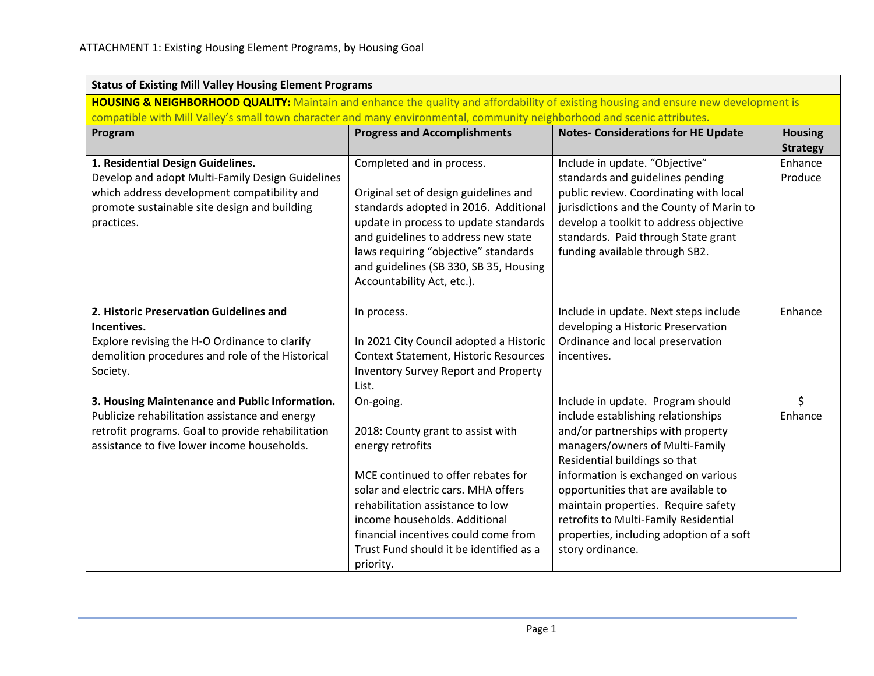|                                                                                                                                                                                                      | <b>Status of Existing Mill Valley Housing Element Programs</b>                                                                                                                                                                                                                                                       |                                                                                                                                                                                                                                                                                                                                                                                                                |                                   |  |
|------------------------------------------------------------------------------------------------------------------------------------------------------------------------------------------------------|----------------------------------------------------------------------------------------------------------------------------------------------------------------------------------------------------------------------------------------------------------------------------------------------------------------------|----------------------------------------------------------------------------------------------------------------------------------------------------------------------------------------------------------------------------------------------------------------------------------------------------------------------------------------------------------------------------------------------------------------|-----------------------------------|--|
| HOUSING & NEIGHBORHOOD QUALITY: Maintain and enhance the quality and affordability of existing housing and ensure new development is                                                                 |                                                                                                                                                                                                                                                                                                                      |                                                                                                                                                                                                                                                                                                                                                                                                                |                                   |  |
| compatible with Mill Valley's small town character and many environmental, community neighborhood and scenic attributes.<br>Program                                                                  | <b>Progress and Accomplishments</b>                                                                                                                                                                                                                                                                                  | <b>Notes- Considerations for HE Update</b>                                                                                                                                                                                                                                                                                                                                                                     | <b>Housing</b><br><b>Strategy</b> |  |
| 1. Residential Design Guidelines.<br>Develop and adopt Multi-Family Design Guidelines<br>which address development compatibility and<br>promote sustainable site design and building<br>practices.   | Completed and in process.<br>Original set of design guidelines and<br>standards adopted in 2016. Additional<br>update in process to update standards<br>and guidelines to address new state<br>laws requiring "objective" standards<br>and guidelines (SB 330, SB 35, Housing<br>Accountability Act, etc.).          | Include in update. "Objective"<br>standards and guidelines pending<br>public review. Coordinating with local<br>jurisdictions and the County of Marin to<br>develop a toolkit to address objective<br>standards. Paid through State grant<br>funding available through SB2.                                                                                                                                    | Enhance<br>Produce                |  |
| 2. Historic Preservation Guidelines and<br>Incentives.<br>Explore revising the H-O Ordinance to clarify<br>demolition procedures and role of the Historical<br>Society.                              | In process.<br>In 2021 City Council adopted a Historic<br><b>Context Statement, Historic Resources</b><br><b>Inventory Survey Report and Property</b><br>List.                                                                                                                                                       | Include in update. Next steps include<br>developing a Historic Preservation<br>Ordinance and local preservation<br>incentives.                                                                                                                                                                                                                                                                                 | Enhance                           |  |
| 3. Housing Maintenance and Public Information.<br>Publicize rehabilitation assistance and energy<br>retrofit programs. Goal to provide rehabilitation<br>assistance to five lower income households. | On-going.<br>2018: County grant to assist with<br>energy retrofits<br>MCE continued to offer rebates for<br>solar and electric cars. MHA offers<br>rehabilitation assistance to low<br>income households. Additional<br>financial incentives could come from<br>Trust Fund should it be identified as a<br>priority. | Include in update. Program should<br>include establishing relationships<br>and/or partnerships with property<br>managers/owners of Multi-Family<br>Residential buildings so that<br>information is exchanged on various<br>opportunities that are available to<br>maintain properties. Require safety<br>retrofits to Multi-Family Residential<br>properties, including adoption of a soft<br>story ordinance. | $\zeta$<br>Enhance                |  |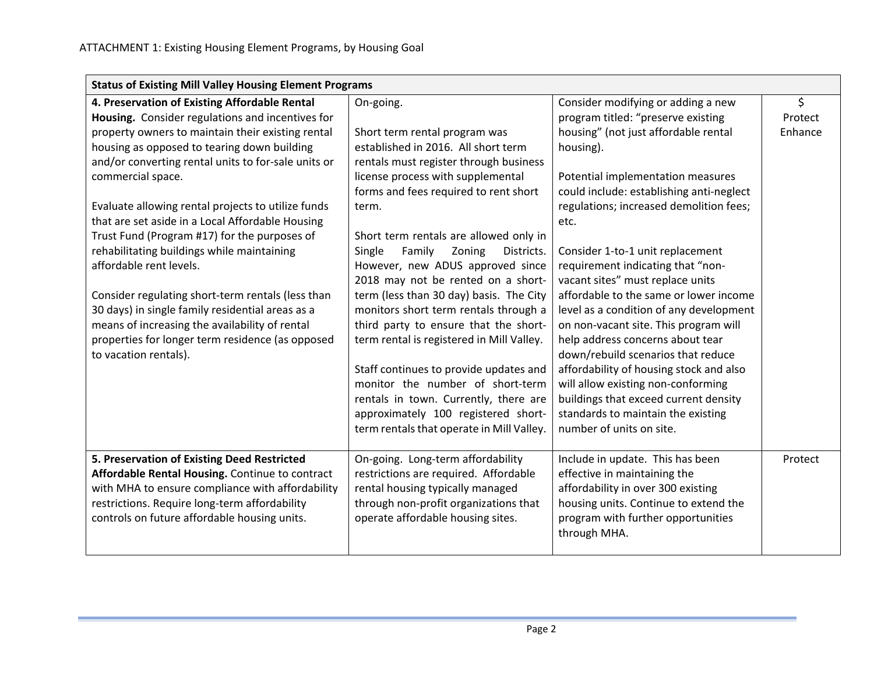| <b>Status of Existing Mill Valley Housing Element Programs</b> |                                           |                                          |         |
|----------------------------------------------------------------|-------------------------------------------|------------------------------------------|---------|
| 4. Preservation of Existing Affordable Rental                  | On-going.                                 | Consider modifying or adding a new       | \$      |
| Housing. Consider regulations and incentives for               |                                           | program titled: "preserve existing       | Protect |
| property owners to maintain their existing rental              | Short term rental program was             | housing" (not just affordable rental     | Enhance |
| housing as opposed to tearing down building                    | established in 2016. All short term       | housing).                                |         |
| and/or converting rental units to for-sale units or            | rentals must register through business    |                                          |         |
| commercial space.                                              | license process with supplemental         | Potential implementation measures        |         |
|                                                                | forms and fees required to rent short     | could include: establishing anti-neglect |         |
| Evaluate allowing rental projects to utilize funds             | term.                                     | regulations; increased demolition fees;  |         |
| that are set aside in a Local Affordable Housing               |                                           | etc.                                     |         |
| Trust Fund (Program #17) for the purposes of                   | Short term rentals are allowed only in    |                                          |         |
| rehabilitating buildings while maintaining                     | Family<br>Single<br>Zoning<br>Districts.  | Consider 1-to-1 unit replacement         |         |
| affordable rent levels.                                        | However, new ADUS approved since          | requirement indicating that "non-        |         |
|                                                                | 2018 may not be rented on a short-        | vacant sites" must replace units         |         |
| Consider regulating short-term rentals (less than              | term (less than 30 day) basis. The City   | affordable to the same or lower income   |         |
| 30 days) in single family residential areas as a               | monitors short term rentals through a     | level as a condition of any development  |         |
| means of increasing the availability of rental                 | third party to ensure that the short-     | on non-vacant site. This program will    |         |
| properties for longer term residence (as opposed               | term rental is registered in Mill Valley. | help address concerns about tear         |         |
| to vacation rentals).                                          |                                           | down/rebuild scenarios that reduce       |         |
|                                                                | Staff continues to provide updates and    | affordability of housing stock and also  |         |
|                                                                | monitor the number of short-term          | will allow existing non-conforming       |         |
|                                                                | rentals in town. Currently, there are     | buildings that exceed current density    |         |
|                                                                | approximately 100 registered short-       | standards to maintain the existing       |         |
|                                                                | term rentals that operate in Mill Valley. | number of units on site.                 |         |
| 5. Preservation of Existing Deed Restricted                    | On-going. Long-term affordability         | Include in update. This has been         | Protect |
| Affordable Rental Housing. Continue to contract                | restrictions are required. Affordable     | effective in maintaining the             |         |
| with MHA to ensure compliance with affordability               | rental housing typically managed          | affordability in over 300 existing       |         |
| restrictions. Require long-term affordability                  | through non-profit organizations that     | housing units. Continue to extend the    |         |
| controls on future affordable housing units.                   | operate affordable housing sites.         | program with further opportunities       |         |
|                                                                |                                           | through MHA.                             |         |
|                                                                |                                           |                                          |         |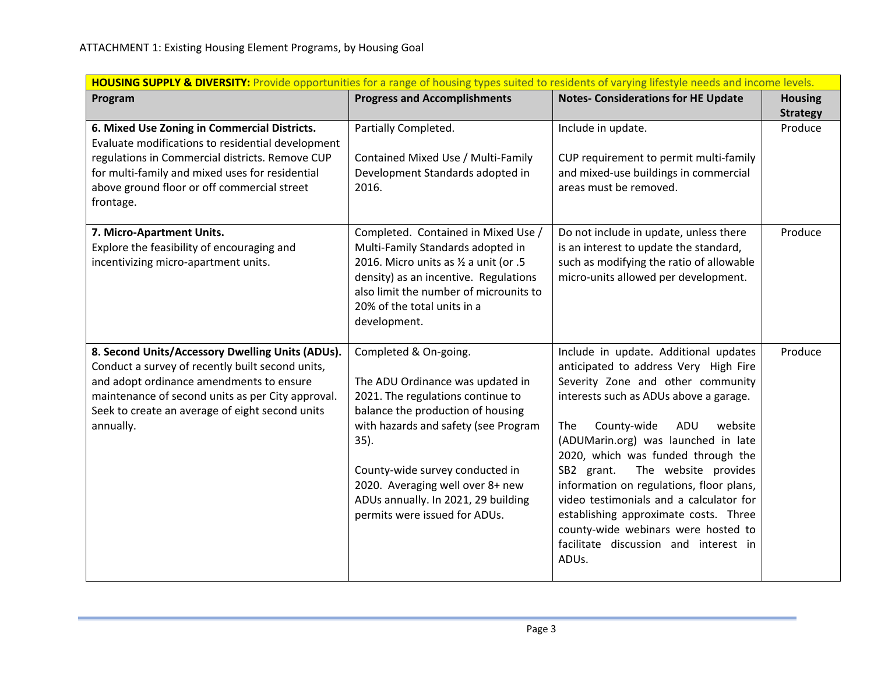| HOUSING SUPPLY & DIVERSITY: Provide opportunities for a range of housing types suited to residents of varying lifestyle needs and income levels. |                                             |                                                                           |                                   |
|--------------------------------------------------------------------------------------------------------------------------------------------------|---------------------------------------------|---------------------------------------------------------------------------|-----------------------------------|
| Program                                                                                                                                          | <b>Progress and Accomplishments</b>         | <b>Notes- Considerations for HE Update</b>                                | <b>Housing</b><br><b>Strategy</b> |
| 6. Mixed Use Zoning in Commercial Districts.<br>Evaluate modifications to residential development                                                | Partially Completed.                        | Include in update.                                                        | Produce                           |
| regulations in Commercial districts. Remove CUP                                                                                                  | Contained Mixed Use / Multi-Family          | CUP requirement to permit multi-family                                    |                                   |
| for multi-family and mixed uses for residential                                                                                                  | Development Standards adopted in            | and mixed-use buildings in commercial                                     |                                   |
| above ground floor or off commercial street<br>frontage.                                                                                         | 2016.                                       | areas must be removed.                                                    |                                   |
| 7. Micro-Apartment Units.                                                                                                                        | Completed. Contained in Mixed Use /         | Do not include in update, unless there                                    | Produce                           |
| Explore the feasibility of encouraging and                                                                                                       | Multi-Family Standards adopted in           | is an interest to update the standard,                                    |                                   |
| incentivizing micro-apartment units.                                                                                                             | 2016. Micro units as 1/2 a unit (or .5      | such as modifying the ratio of allowable                                  |                                   |
|                                                                                                                                                  | density) as an incentive. Regulations       | micro-units allowed per development.                                      |                                   |
|                                                                                                                                                  | also limit the number of microunits to      |                                                                           |                                   |
|                                                                                                                                                  | 20% of the total units in a<br>development. |                                                                           |                                   |
|                                                                                                                                                  |                                             |                                                                           |                                   |
| 8. Second Units/Accessory Dwelling Units (ADUs).                                                                                                 | Completed & On-going.                       | Include in update. Additional updates                                     | Produce                           |
| Conduct a survey of recently built second units,                                                                                                 |                                             | anticipated to address Very High Fire                                     |                                   |
| and adopt ordinance amendments to ensure                                                                                                         | The ADU Ordinance was updated in            | Severity Zone and other community                                         |                                   |
| maintenance of second units as per City approval.                                                                                                | 2021. The regulations continue to           | interests such as ADUs above a garage.                                    |                                   |
| Seek to create an average of eight second units                                                                                                  | balance the production of housing           |                                                                           |                                   |
| annually.                                                                                                                                        | with hazards and safety (see Program        | County-wide<br>The<br>ADU<br>website                                      |                                   |
|                                                                                                                                                  | $35$ ).                                     | (ADUMarin.org) was launched in late<br>2020, which was funded through the |                                   |
|                                                                                                                                                  | County-wide survey conducted in             | The website provides<br>SB2 grant.                                        |                                   |
|                                                                                                                                                  | 2020. Averaging well over 8+ new            | information on regulations, floor plans,                                  |                                   |
|                                                                                                                                                  | ADUs annually. In 2021, 29 building         | video testimonials and a calculator for                                   |                                   |
|                                                                                                                                                  | permits were issued for ADUs.               | establishing approximate costs. Three                                     |                                   |
|                                                                                                                                                  |                                             | county-wide webinars were hosted to                                       |                                   |
|                                                                                                                                                  |                                             | facilitate discussion and interest in                                     |                                   |
|                                                                                                                                                  |                                             | ADUs.                                                                     |                                   |
|                                                                                                                                                  |                                             |                                                                           |                                   |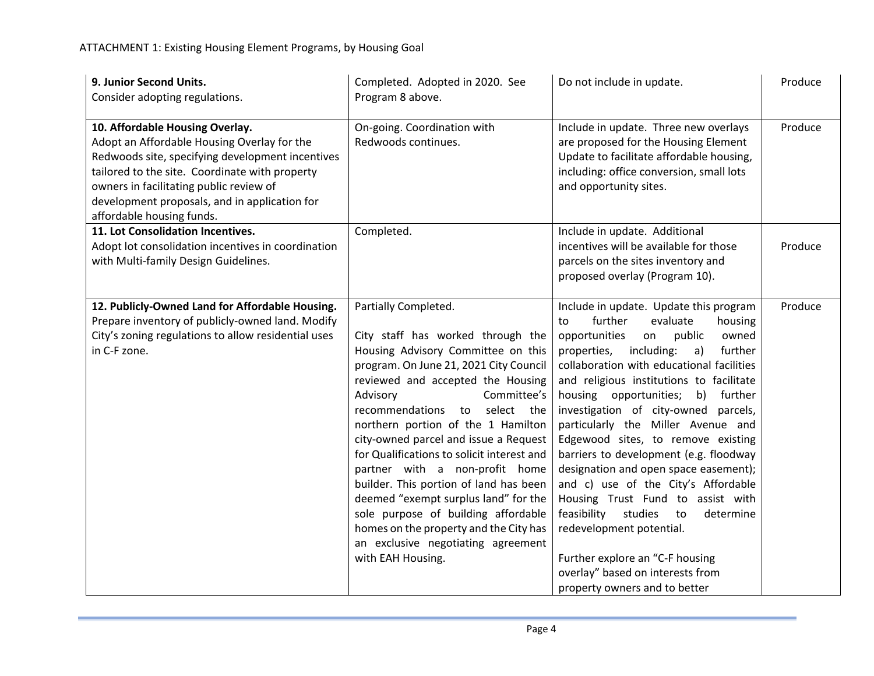| 9. Junior Second Units.<br>Consider adopting regulations.                                                                                                                                                                                                                                                     | Completed. Adopted in 2020. See<br>Program 8 above.                                                                                                                                                                                                                                                                                                                                                                                                                                                                                                                                                                                           | Do not include in update.                                                                                                                                                                                                                                                                                                                                                                                                                                                                                                                                                                                                                                                                                                                                                | Produce |
|---------------------------------------------------------------------------------------------------------------------------------------------------------------------------------------------------------------------------------------------------------------------------------------------------------------|-----------------------------------------------------------------------------------------------------------------------------------------------------------------------------------------------------------------------------------------------------------------------------------------------------------------------------------------------------------------------------------------------------------------------------------------------------------------------------------------------------------------------------------------------------------------------------------------------------------------------------------------------|--------------------------------------------------------------------------------------------------------------------------------------------------------------------------------------------------------------------------------------------------------------------------------------------------------------------------------------------------------------------------------------------------------------------------------------------------------------------------------------------------------------------------------------------------------------------------------------------------------------------------------------------------------------------------------------------------------------------------------------------------------------------------|---------|
| 10. Affordable Housing Overlay.<br>Adopt an Affordable Housing Overlay for the<br>Redwoods site, specifying development incentives<br>tailored to the site. Coordinate with property<br>owners in facilitating public review of<br>development proposals, and in application for<br>affordable housing funds. | On-going. Coordination with<br>Redwoods continues.                                                                                                                                                                                                                                                                                                                                                                                                                                                                                                                                                                                            | Include in update. Three new overlays<br>are proposed for the Housing Element<br>Update to facilitate affordable housing,<br>including: office conversion, small lots<br>and opportunity sites.                                                                                                                                                                                                                                                                                                                                                                                                                                                                                                                                                                          | Produce |
| 11. Lot Consolidation Incentives.<br>Adopt lot consolidation incentives in coordination<br>with Multi-family Design Guidelines.                                                                                                                                                                               | Completed.                                                                                                                                                                                                                                                                                                                                                                                                                                                                                                                                                                                                                                    | Include in update. Additional<br>incentives will be available for those<br>parcels on the sites inventory and<br>proposed overlay (Program 10).                                                                                                                                                                                                                                                                                                                                                                                                                                                                                                                                                                                                                          | Produce |
| 12. Publicly-Owned Land for Affordable Housing.<br>Prepare inventory of publicly-owned land. Modify<br>City's zoning regulations to allow residential uses<br>in C-F zone.                                                                                                                                    | Partially Completed.<br>City staff has worked through the<br>Housing Advisory Committee on this<br>program. On June 21, 2021 City Council<br>reviewed and accepted the Housing<br>Advisory<br>Committee's<br>recommendations<br>select the<br>to<br>northern portion of the 1 Hamilton<br>city-owned parcel and issue a Request<br>for Qualifications to solicit interest and<br>partner with a non-profit home<br>builder. This portion of land has been<br>deemed "exempt surplus land" for the<br>sole purpose of building affordable<br>homes on the property and the City has<br>an exclusive negotiating agreement<br>with EAH Housing. | Include in update. Update this program<br>further<br>evaluate<br>housing<br>to<br>opportunities<br>owned<br>on<br>public<br>including:<br>further<br>properties,<br>a)<br>collaboration with educational facilities<br>and religious institutions to facilitate<br>housing opportunities; b) further<br>investigation of city-owned parcels,<br>particularly the Miller Avenue and<br>Edgewood sites, to remove existing<br>barriers to development (e.g. floodway<br>designation and open space easement);<br>and c) use of the City's Affordable<br>Housing Trust Fund to assist with<br>studies<br>feasibility<br>to<br>determine<br>redevelopment potential.<br>Further explore an "C-F housing<br>overlay" based on interests from<br>property owners and to better | Produce |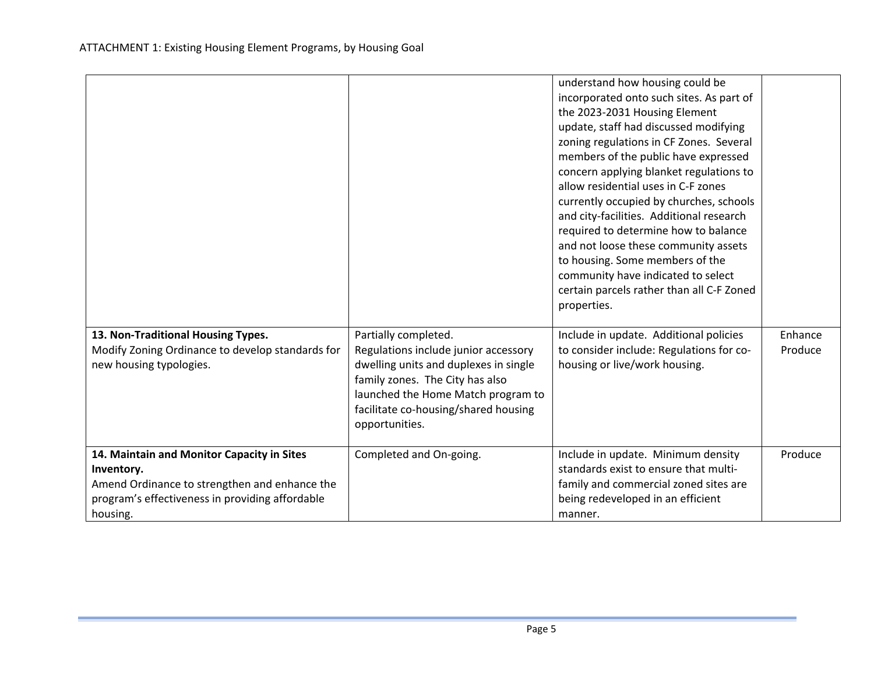| 13. Non-Traditional Housing Types.               | Partially completed.                                                                                                                                                     | understand how housing could be<br>incorporated onto such sites. As part of<br>the 2023-2031 Housing Element<br>update, staff had discussed modifying<br>zoning regulations in CF Zones. Several<br>members of the public have expressed<br>concern applying blanket regulations to<br>allow residential uses in C-F zones<br>currently occupied by churches, schools<br>and city-facilities. Additional research<br>required to determine how to balance<br>and not loose these community assets<br>to housing. Some members of the<br>community have indicated to select<br>certain parcels rather than all C-F Zoned<br>properties.<br>Include in update. Additional policies | Enhance |
|--------------------------------------------------|--------------------------------------------------------------------------------------------------------------------------------------------------------------------------|----------------------------------------------------------------------------------------------------------------------------------------------------------------------------------------------------------------------------------------------------------------------------------------------------------------------------------------------------------------------------------------------------------------------------------------------------------------------------------------------------------------------------------------------------------------------------------------------------------------------------------------------------------------------------------|---------|
| Modify Zoning Ordinance to develop standards for | Regulations include junior accessory                                                                                                                                     | to consider include: Regulations for co-                                                                                                                                                                                                                                                                                                                                                                                                                                                                                                                                                                                                                                         | Produce |
| new housing typologies.                          | dwelling units and duplexes in single<br>family zones. The City has also<br>launched the Home Match program to<br>facilitate co-housing/shared housing<br>opportunities. | housing or live/work housing.                                                                                                                                                                                                                                                                                                                                                                                                                                                                                                                                                                                                                                                    |         |
| 14. Maintain and Monitor Capacity in Sites       | Completed and On-going.                                                                                                                                                  | Include in update. Minimum density                                                                                                                                                                                                                                                                                                                                                                                                                                                                                                                                                                                                                                               | Produce |
| Inventory.                                       |                                                                                                                                                                          | standards exist to ensure that multi-                                                                                                                                                                                                                                                                                                                                                                                                                                                                                                                                                                                                                                            |         |
| Amend Ordinance to strengthen and enhance the    |                                                                                                                                                                          | family and commercial zoned sites are                                                                                                                                                                                                                                                                                                                                                                                                                                                                                                                                                                                                                                            |         |
| program's effectiveness in providing affordable  |                                                                                                                                                                          | being redeveloped in an efficient                                                                                                                                                                                                                                                                                                                                                                                                                                                                                                                                                                                                                                                |         |
| housing.                                         |                                                                                                                                                                          | manner.                                                                                                                                                                                                                                                                                                                                                                                                                                                                                                                                                                                                                                                                          |         |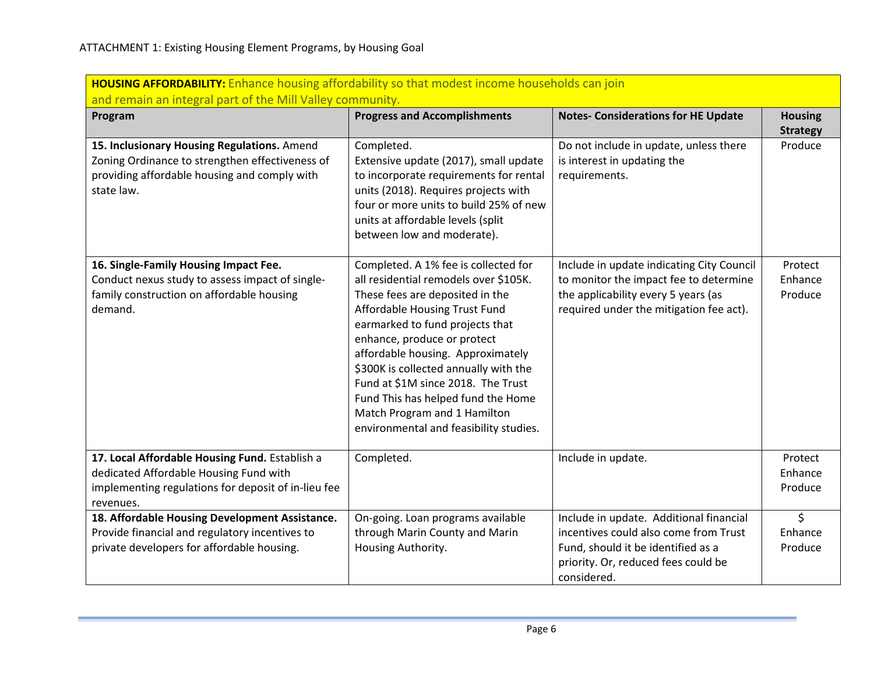| <b>HOUSING AFFORDABILITY:</b> Enhance housing affordability so that modest income households can join                                                        |                                                                                                                                                                                                                                                                                                                                                                                                                                                         |                                                                                                                                                                              |                               |  |  |
|--------------------------------------------------------------------------------------------------------------------------------------------------------------|---------------------------------------------------------------------------------------------------------------------------------------------------------------------------------------------------------------------------------------------------------------------------------------------------------------------------------------------------------------------------------------------------------------------------------------------------------|------------------------------------------------------------------------------------------------------------------------------------------------------------------------------|-------------------------------|--|--|
|                                                                                                                                                              | and remain an integral part of the Mill Valley community.                                                                                                                                                                                                                                                                                                                                                                                               |                                                                                                                                                                              |                               |  |  |
| Program                                                                                                                                                      | <b>Progress and Accomplishments</b>                                                                                                                                                                                                                                                                                                                                                                                                                     | <b>Notes- Considerations for HE Update</b>                                                                                                                                   | <b>Housing</b>                |  |  |
| 15. Inclusionary Housing Regulations. Amend<br>Zoning Ordinance to strengthen effectiveness of<br>providing affordable housing and comply with<br>state law. | Completed.<br>Extensive update (2017), small update<br>to incorporate requirements for rental<br>units (2018). Requires projects with<br>four or more units to build 25% of new<br>units at affordable levels (split<br>between low and moderate).                                                                                                                                                                                                      | Do not include in update, unless there<br>is interest in updating the<br>requirements.                                                                                       | <b>Strategy</b><br>Produce    |  |  |
| 16. Single-Family Housing Impact Fee.<br>Conduct nexus study to assess impact of single-<br>family construction on affordable housing<br>demand.             | Completed. A 1% fee is collected for<br>all residential remodels over \$105K.<br>These fees are deposited in the<br>Affordable Housing Trust Fund<br>earmarked to fund projects that<br>enhance, produce or protect<br>affordable housing. Approximately<br>\$300K is collected annually with the<br>Fund at \$1M since 2018. The Trust<br>Fund This has helped fund the Home<br>Match Program and 1 Hamilton<br>environmental and feasibility studies. | Include in update indicating City Council<br>to monitor the impact fee to determine<br>the applicability every 5 years (as<br>required under the mitigation fee act).        | Protect<br>Enhance<br>Produce |  |  |
| 17. Local Affordable Housing Fund. Establish a<br>dedicated Affordable Housing Fund with<br>implementing regulations for deposit of in-lieu fee<br>revenues. | Completed.                                                                                                                                                                                                                                                                                                                                                                                                                                              | Include in update.                                                                                                                                                           | Protect<br>Enhance<br>Produce |  |  |
| 18. Affordable Housing Development Assistance.<br>Provide financial and regulatory incentives to<br>private developers for affordable housing.               | On-going. Loan programs available<br>through Marin County and Marin<br>Housing Authority.                                                                                                                                                                                                                                                                                                                                                               | Include in update. Additional financial<br>incentives could also come from Trust<br>Fund, should it be identified as a<br>priority. Or, reduced fees could be<br>considered. | $\zeta$<br>Enhance<br>Produce |  |  |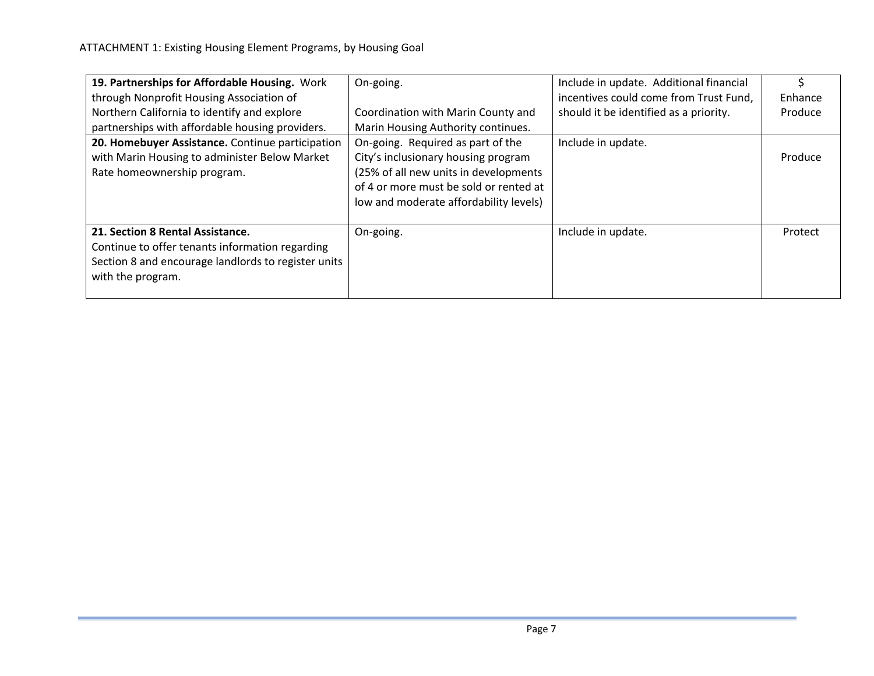| 19. Partnerships for Affordable Housing. Work<br>through Nonprofit Housing Association of                                                                       | On-going.                                                                                                                                                                                             | Include in update. Additional financial<br>incentives could come from Trust Fund, | Enhance |
|-----------------------------------------------------------------------------------------------------------------------------------------------------------------|-------------------------------------------------------------------------------------------------------------------------------------------------------------------------------------------------------|-----------------------------------------------------------------------------------|---------|
| Northern California to identify and explore<br>partnerships with affordable housing providers.                                                                  | Coordination with Marin County and<br>Marin Housing Authority continues.                                                                                                                              | should it be identified as a priority.                                            | Produce |
| 20. Homebuyer Assistance. Continue participation<br>with Marin Housing to administer Below Market<br>Rate homeownership program.                                | On-going. Required as part of the<br>City's inclusionary housing program<br>(25% of all new units in developments<br>of 4 or more must be sold or rented at<br>low and moderate affordability levels) | Include in update.                                                                | Produce |
| 21. Section 8 Rental Assistance.<br>Continue to offer tenants information regarding<br>Section 8 and encourage landlords to register units<br>with the program. | On-going.                                                                                                                                                                                             | Include in update.                                                                | Protect |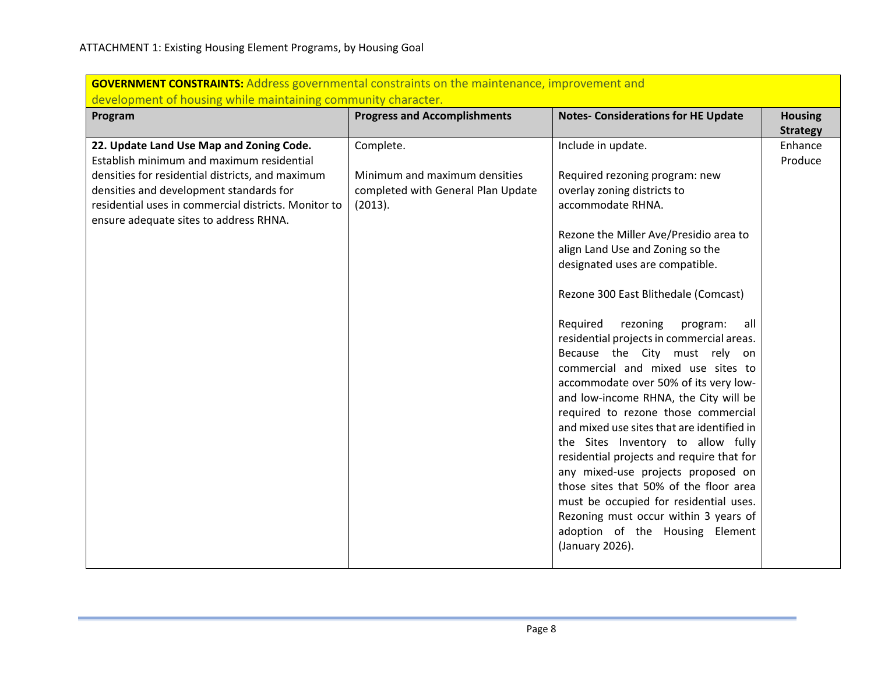| Program                                                                                        | <b>Progress and Accomplishments</b> | <b>Notes- Considerations for HE Update</b>                                   | <b>Housing</b><br><b>Strategy</b> |
|------------------------------------------------------------------------------------------------|-------------------------------------|------------------------------------------------------------------------------|-----------------------------------|
| 22. Update Land Use Map and Zoning Code.<br>Establish minimum and maximum residential          | Complete.                           | Include in update.                                                           | Enhance<br>Produce                |
| densities for residential districts, and maximum                                               | Minimum and maximum densities       | Required rezoning program: new                                               |                                   |
| densities and development standards for                                                        | completed with General Plan Update  | overlay zoning districts to                                                  |                                   |
| residential uses in commercial districts. Monitor to<br>ensure adequate sites to address RHNA. | (2013).                             | accommodate RHNA.                                                            |                                   |
|                                                                                                |                                     | Rezone the Miller Ave/Presidio area to                                       |                                   |
|                                                                                                |                                     | align Land Use and Zoning so the                                             |                                   |
|                                                                                                |                                     | designated uses are compatible.                                              |                                   |
|                                                                                                |                                     | Rezone 300 East Blithedale (Comcast)                                         |                                   |
|                                                                                                |                                     | Required<br>rezoning<br>program:<br>all                                      |                                   |
|                                                                                                |                                     | residential projects in commercial areas.                                    |                                   |
|                                                                                                |                                     | Because the City must rely on                                                |                                   |
|                                                                                                |                                     | commercial and mixed use sites to                                            |                                   |
|                                                                                                |                                     | accommodate over 50% of its very low-                                        |                                   |
|                                                                                                |                                     | and low-income RHNA, the City will be<br>required to rezone those commercial |                                   |
|                                                                                                |                                     | and mixed use sites that are identified in                                   |                                   |
|                                                                                                |                                     | the Sites Inventory to allow fully                                           |                                   |
|                                                                                                |                                     | residential projects and require that for                                    |                                   |
|                                                                                                |                                     | any mixed-use projects proposed on                                           |                                   |
|                                                                                                |                                     | those sites that 50% of the floor area                                       |                                   |
|                                                                                                |                                     | must be occupied for residential uses.                                       |                                   |
|                                                                                                |                                     | Rezoning must occur within 3 years of                                        |                                   |
|                                                                                                |                                     | adoption of the Housing Element                                              |                                   |
|                                                                                                |                                     | (January 2026).                                                              |                                   |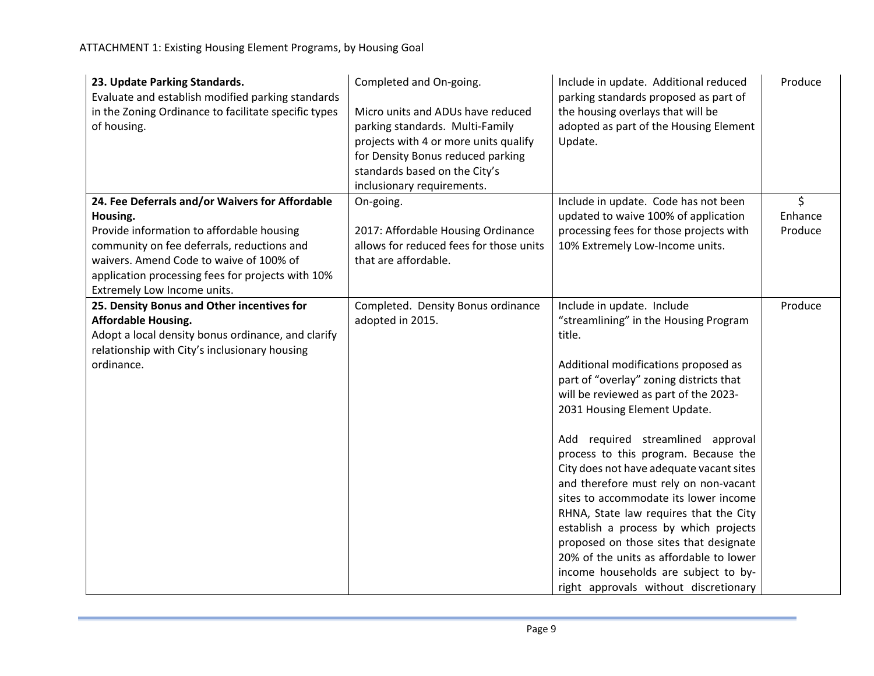| 23. Update Parking Standards.<br>Evaluate and establish modified parking standards<br>in the Zoning Ordinance to facilitate specific types<br>of housing. | Completed and On-going.<br>Micro units and ADUs have reduced<br>parking standards. Multi-Family<br>projects with 4 or more units qualify<br>for Density Bonus reduced parking<br>standards based on the City's<br>inclusionary requirements. | Include in update. Additional reduced<br>parking standards proposed as part of<br>the housing overlays that will be<br>adopted as part of the Housing Element<br>Update. | Produce |
|-----------------------------------------------------------------------------------------------------------------------------------------------------------|----------------------------------------------------------------------------------------------------------------------------------------------------------------------------------------------------------------------------------------------|--------------------------------------------------------------------------------------------------------------------------------------------------------------------------|---------|
| 24. Fee Deferrals and/or Waivers for Affordable                                                                                                           | On-going.                                                                                                                                                                                                                                    | Include in update. Code has not been                                                                                                                                     | \$      |
| Housing.                                                                                                                                                  |                                                                                                                                                                                                                                              | updated to waive 100% of application                                                                                                                                     | Enhance |
| Provide information to affordable housing                                                                                                                 | 2017: Affordable Housing Ordinance                                                                                                                                                                                                           | processing fees for those projects with                                                                                                                                  | Produce |
| community on fee deferrals, reductions and                                                                                                                | allows for reduced fees for those units                                                                                                                                                                                                      | 10% Extremely Low-Income units.                                                                                                                                          |         |
| waivers. Amend Code to waive of 100% of                                                                                                                   | that are affordable.                                                                                                                                                                                                                         |                                                                                                                                                                          |         |
| application processing fees for projects with 10%                                                                                                         |                                                                                                                                                                                                                                              |                                                                                                                                                                          |         |
| Extremely Low Income units.<br>25. Density Bonus and Other incentives for                                                                                 | Completed. Density Bonus ordinance                                                                                                                                                                                                           | Include in update. Include                                                                                                                                               | Produce |
| <b>Affordable Housing.</b>                                                                                                                                | adopted in 2015.                                                                                                                                                                                                                             | "streamlining" in the Housing Program                                                                                                                                    |         |
| Adopt a local density bonus ordinance, and clarify                                                                                                        |                                                                                                                                                                                                                                              | title.                                                                                                                                                                   |         |
| relationship with City's inclusionary housing                                                                                                             |                                                                                                                                                                                                                                              |                                                                                                                                                                          |         |
| ordinance.                                                                                                                                                |                                                                                                                                                                                                                                              | Additional modifications proposed as                                                                                                                                     |         |
|                                                                                                                                                           |                                                                                                                                                                                                                                              | part of "overlay" zoning districts that                                                                                                                                  |         |
|                                                                                                                                                           |                                                                                                                                                                                                                                              | will be reviewed as part of the 2023-                                                                                                                                    |         |
|                                                                                                                                                           |                                                                                                                                                                                                                                              | 2031 Housing Element Update.                                                                                                                                             |         |
|                                                                                                                                                           |                                                                                                                                                                                                                                              | Add required streamlined approval                                                                                                                                        |         |
|                                                                                                                                                           |                                                                                                                                                                                                                                              | process to this program. Because the                                                                                                                                     |         |
|                                                                                                                                                           |                                                                                                                                                                                                                                              | City does not have adequate vacant sites                                                                                                                                 |         |
|                                                                                                                                                           |                                                                                                                                                                                                                                              | and therefore must rely on non-vacant                                                                                                                                    |         |
|                                                                                                                                                           |                                                                                                                                                                                                                                              | sites to accommodate its lower income                                                                                                                                    |         |
|                                                                                                                                                           |                                                                                                                                                                                                                                              | RHNA, State law requires that the City                                                                                                                                   |         |
|                                                                                                                                                           |                                                                                                                                                                                                                                              | establish a process by which projects                                                                                                                                    |         |
|                                                                                                                                                           |                                                                                                                                                                                                                                              | proposed on those sites that designate                                                                                                                                   |         |
|                                                                                                                                                           |                                                                                                                                                                                                                                              | 20% of the units as affordable to lower                                                                                                                                  |         |
|                                                                                                                                                           |                                                                                                                                                                                                                                              | income households are subject to by-                                                                                                                                     |         |
|                                                                                                                                                           |                                                                                                                                                                                                                                              | right approvals without discretionary                                                                                                                                    |         |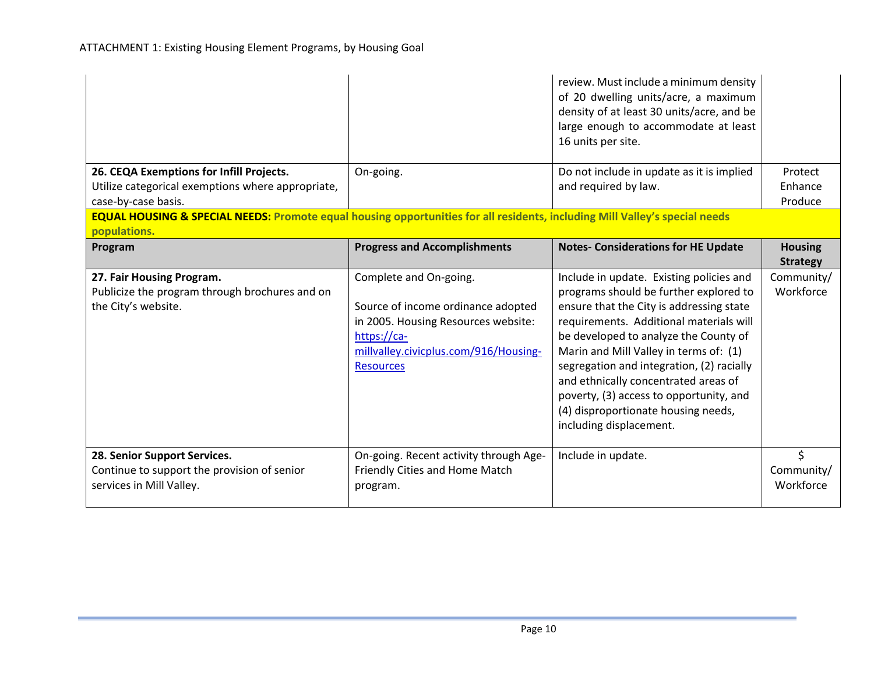|                                                                                                                                        |                                            | review. Must include a minimum density<br>of 20 dwelling units/acre, a maximum<br>density of at least 30 units/acre, and be<br>large enough to accommodate at least<br>16 units per site.      |                                   |
|----------------------------------------------------------------------------------------------------------------------------------------|--------------------------------------------|------------------------------------------------------------------------------------------------------------------------------------------------------------------------------------------------|-----------------------------------|
| 26. CEQA Exemptions for Infill Projects.                                                                                               | On-going.                                  | Do not include in update as it is implied                                                                                                                                                      | Protect                           |
| Utilize categorical exemptions where appropriate,                                                                                      |                                            | and required by law.                                                                                                                                                                           | Enhance                           |
| case-by-case basis.                                                                                                                    |                                            |                                                                                                                                                                                                | Produce                           |
| <b>EQUAL HOUSING &amp; SPECIAL NEEDS:</b> Promote equal housing opportunities for all residents, including Mill Valley's special needs |                                            |                                                                                                                                                                                                |                                   |
| populations.                                                                                                                           |                                            |                                                                                                                                                                                                |                                   |
| Program                                                                                                                                | <b>Progress and Accomplishments</b>        | <b>Notes- Considerations for HE Update</b>                                                                                                                                                     | <b>Housing</b><br><b>Strategy</b> |
| 27. Fair Housing Program.                                                                                                              | Complete and On-going.                     | Include in update. Existing policies and                                                                                                                                                       | Community/                        |
| Publicize the program through brochures and on                                                                                         |                                            | programs should be further explored to                                                                                                                                                         | Workforce                         |
| the City's website.                                                                                                                    | Source of income ordinance adopted         | ensure that the City is addressing state                                                                                                                                                       |                                   |
|                                                                                                                                        | in 2005. Housing Resources website:        | requirements. Additional materials will                                                                                                                                                        |                                   |
|                                                                                                                                        | https://ca-                                | be developed to analyze the County of                                                                                                                                                          |                                   |
|                                                                                                                                        | millvalley.civicplus.com/916/Housing-      | Marin and Mill Valley in terms of: (1)                                                                                                                                                         |                                   |
|                                                                                                                                        | <b>Resources</b>                           | segregation and integration, (2) racially<br>and ethnically concentrated areas of<br>poverty, (3) access to opportunity, and<br>(4) disproportionate housing needs,<br>including displacement. |                                   |
| 28. Senior Support Services.                                                                                                           | On-going. Recent activity through Age-     | Include in update.                                                                                                                                                                             | \$                                |
| Continue to support the provision of senior<br>services in Mill Valley.                                                                | Friendly Cities and Home Match<br>program. |                                                                                                                                                                                                | Community/<br>Workforce           |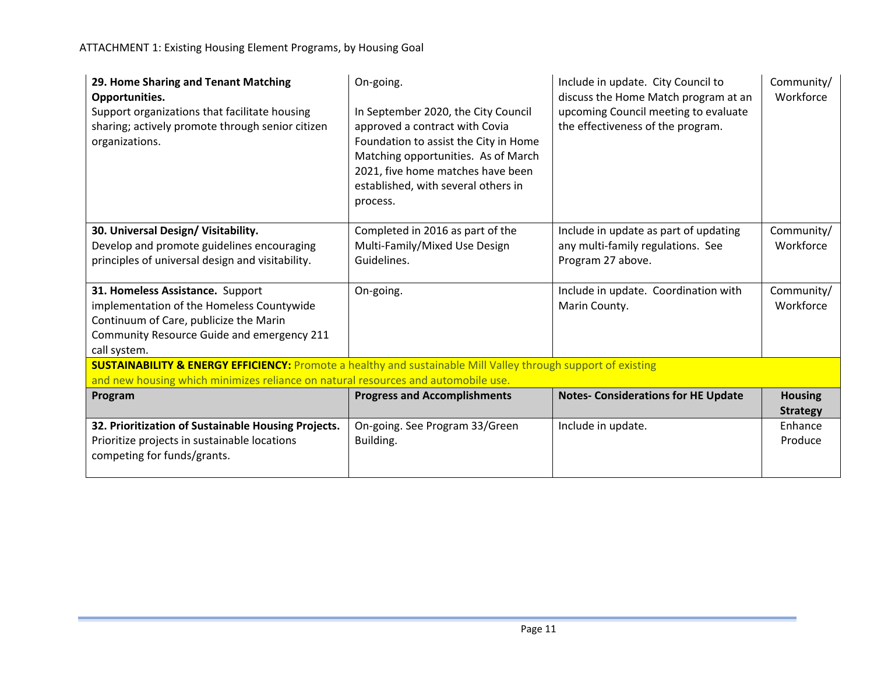ATTACHMENT 1: Existing Housing Element Programs, by Housing Goal

| 29. Home Sharing and Tenant Matching<br>Opportunities.<br>Support organizations that facilitate housing<br>sharing; actively promote through senior citizen<br>organizations. | On-going.<br>In September 2020, the City Council<br>approved a contract with Covia<br>Foundation to assist the City in Home<br>Matching opportunities. As of March<br>2021, five home matches have been<br>established, with several others in<br>process. | Include in update. City Council to<br>discuss the Home Match program at an<br>upcoming Council meeting to evaluate<br>the effectiveness of the program. | Community/<br>Workforce |
|-------------------------------------------------------------------------------------------------------------------------------------------------------------------------------|------------------------------------------------------------------------------------------------------------------------------------------------------------------------------------------------------------------------------------------------------------|---------------------------------------------------------------------------------------------------------------------------------------------------------|-------------------------|
| 30. Universal Design/ Visitability.                                                                                                                                           | Completed in 2016 as part of the                                                                                                                                                                                                                           | Include in update as part of updating                                                                                                                   | Community/              |
| Develop and promote guidelines encouraging                                                                                                                                    | Multi-Family/Mixed Use Design                                                                                                                                                                                                                              | any multi-family regulations. See                                                                                                                       | Workforce               |
| principles of universal design and visitability.                                                                                                                              | Guidelines.                                                                                                                                                                                                                                                | Program 27 above.                                                                                                                                       |                         |
| 31. Homeless Assistance. Support                                                                                                                                              | On-going.                                                                                                                                                                                                                                                  | Include in update. Coordination with                                                                                                                    | Community/              |
| implementation of the Homeless Countywide                                                                                                                                     |                                                                                                                                                                                                                                                            | Marin County.                                                                                                                                           | Workforce               |
| Continuum of Care, publicize the Marin                                                                                                                                        |                                                                                                                                                                                                                                                            |                                                                                                                                                         |                         |
| Community Resource Guide and emergency 211<br>call system.                                                                                                                    |                                                                                                                                                                                                                                                            |                                                                                                                                                         |                         |
| <b>SUSTAINABILITY &amp; ENERGY EFFICIENCY:</b> Promote a healthy and sustainable Mill Valley through support of existing                                                      |                                                                                                                                                                                                                                                            |                                                                                                                                                         |                         |
| and new housing which minimizes reliance on natural resources and automobile use.                                                                                             |                                                                                                                                                                                                                                                            |                                                                                                                                                         |                         |
| Program                                                                                                                                                                       | <b>Progress and Accomplishments</b>                                                                                                                                                                                                                        | <b>Notes- Considerations for HE Update</b>                                                                                                              | <b>Housing</b>          |
|                                                                                                                                                                               |                                                                                                                                                                                                                                                            |                                                                                                                                                         | <b>Strategy</b>         |
| 32. Prioritization of Sustainable Housing Projects.                                                                                                                           | On-going. See Program 33/Green                                                                                                                                                                                                                             | Include in update.                                                                                                                                      | Enhance                 |
| Prioritize projects in sustainable locations                                                                                                                                  | Building.                                                                                                                                                                                                                                                  |                                                                                                                                                         | Produce                 |
| competing for funds/grants.                                                                                                                                                   |                                                                                                                                                                                                                                                            |                                                                                                                                                         |                         |
|                                                                                                                                                                               |                                                                                                                                                                                                                                                            |                                                                                                                                                         |                         |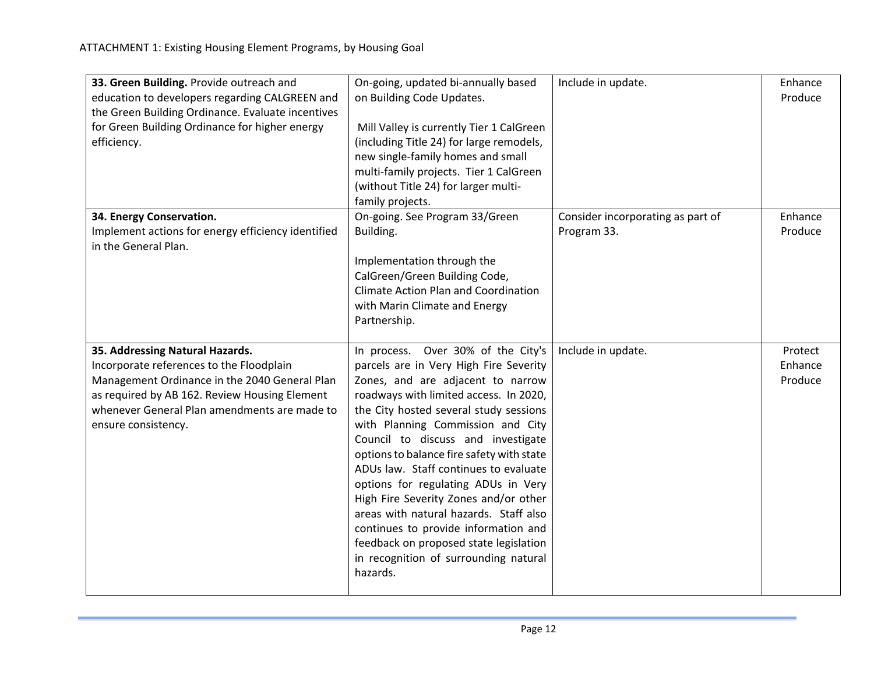| 33. Green Building. Provide outreach and<br>education to developers regarding CALGREEN and<br>the Green Building Ordinance. Evaluate incentives<br>for Green Building Ordinance for higher energy<br>efficiency.                                     | On-going, updated bi-annually based<br>on Building Code Updates.<br>Mill Valley is currently Tier 1 CalGreen<br>(including Title 24) for large remodels,<br>new single-family homes and small<br>multi-family projects. Tier 1 CalGreen<br>(without Title 24) for larger multi-<br>family projects.                                                                                                                                                                                                                                                                                                                                     | Include in update.                               | Enhance<br>Produce            |
|------------------------------------------------------------------------------------------------------------------------------------------------------------------------------------------------------------------------------------------------------|-----------------------------------------------------------------------------------------------------------------------------------------------------------------------------------------------------------------------------------------------------------------------------------------------------------------------------------------------------------------------------------------------------------------------------------------------------------------------------------------------------------------------------------------------------------------------------------------------------------------------------------------|--------------------------------------------------|-------------------------------|
| 34. Energy Conservation.<br>Implement actions for energy efficiency identified<br>in the General Plan.                                                                                                                                               | On-going. See Program 33/Green<br>Building.<br>Implementation through the<br>CalGreen/Green Building Code,<br><b>Climate Action Plan and Coordination</b><br>with Marin Climate and Energy<br>Partnership.                                                                                                                                                                                                                                                                                                                                                                                                                              | Consider incorporating as part of<br>Program 33. | Enhance<br>Produce            |
| 35. Addressing Natural Hazards.<br>Incorporate references to the Floodplain<br>Management Ordinance in the 2040 General Plan<br>as required by AB 162. Review Housing Element<br>whenever General Plan amendments are made to<br>ensure consistency. | In process. Over 30% of the City's<br>parcels are in Very High Fire Severity<br>Zones, and are adjacent to narrow<br>roadways with limited access. In 2020,<br>the City hosted several study sessions<br>with Planning Commission and City<br>Council to discuss and investigate<br>options to balance fire safety with state<br>ADUs law. Staff continues to evaluate<br>options for regulating ADUs in Very<br>High Fire Severity Zones and/or other<br>areas with natural hazards. Staff also<br>continues to provide information and<br>feedback on proposed state legislation<br>in recognition of surrounding natural<br>hazards. | Include in update.                               | Protect<br>Enhance<br>Produce |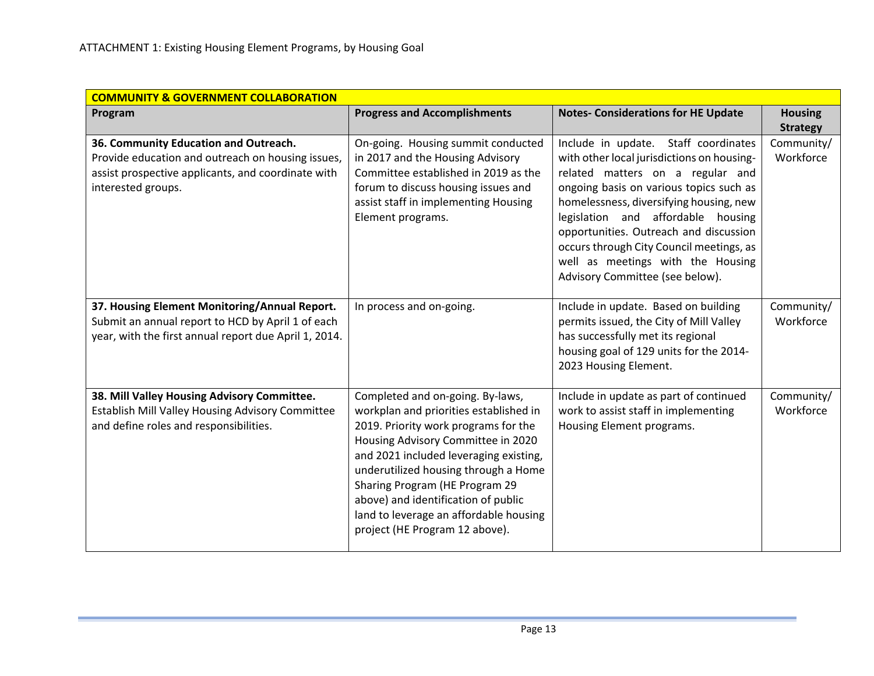| <b>COMMUNITY &amp; GOVERNMENT COLLABORATION</b>                                                                                                                        |                                                                                                                                                                                                                                                                                                                                                                                                 |                                                                                                                                                                                                                                                                                                                                                                                                                  |                                   |
|------------------------------------------------------------------------------------------------------------------------------------------------------------------------|-------------------------------------------------------------------------------------------------------------------------------------------------------------------------------------------------------------------------------------------------------------------------------------------------------------------------------------------------------------------------------------------------|------------------------------------------------------------------------------------------------------------------------------------------------------------------------------------------------------------------------------------------------------------------------------------------------------------------------------------------------------------------------------------------------------------------|-----------------------------------|
| Program                                                                                                                                                                | <b>Progress and Accomplishments</b>                                                                                                                                                                                                                                                                                                                                                             | <b>Notes- Considerations for HE Update</b>                                                                                                                                                                                                                                                                                                                                                                       | <b>Housing</b><br><b>Strategy</b> |
| 36. Community Education and Outreach.<br>Provide education and outreach on housing issues,<br>assist prospective applicants, and coordinate with<br>interested groups. | On-going. Housing summit conducted<br>in 2017 and the Housing Advisory<br>Committee established in 2019 as the<br>forum to discuss housing issues and<br>assist staff in implementing Housing<br>Element programs.                                                                                                                                                                              | Include in update. Staff coordinates<br>with other local jurisdictions on housing-<br>related matters on a regular and<br>ongoing basis on various topics such as<br>homelessness, diversifying housing, new<br>legislation and affordable housing<br>opportunities. Outreach and discussion<br>occurs through City Council meetings, as<br>well as meetings with the Housing<br>Advisory Committee (see below). | Community/<br>Workforce           |
| 37. Housing Element Monitoring/Annual Report.<br>Submit an annual report to HCD by April 1 of each<br>year, with the first annual report due April 1, 2014.            | In process and on-going.                                                                                                                                                                                                                                                                                                                                                                        | Include in update. Based on building<br>permits issued, the City of Mill Valley<br>has successfully met its regional<br>housing goal of 129 units for the 2014-<br>2023 Housing Element.                                                                                                                                                                                                                         | Community/<br>Workforce           |
| 38. Mill Valley Housing Advisory Committee.<br>Establish Mill Valley Housing Advisory Committee<br>and define roles and responsibilities.                              | Completed and on-going. By-laws,<br>workplan and priorities established in<br>2019. Priority work programs for the<br>Housing Advisory Committee in 2020<br>and 2021 included leveraging existing,<br>underutilized housing through a Home<br>Sharing Program (HE Program 29<br>above) and identification of public<br>land to leverage an affordable housing<br>project (HE Program 12 above). | Include in update as part of continued<br>work to assist staff in implementing<br>Housing Element programs.                                                                                                                                                                                                                                                                                                      | Community/<br>Workforce           |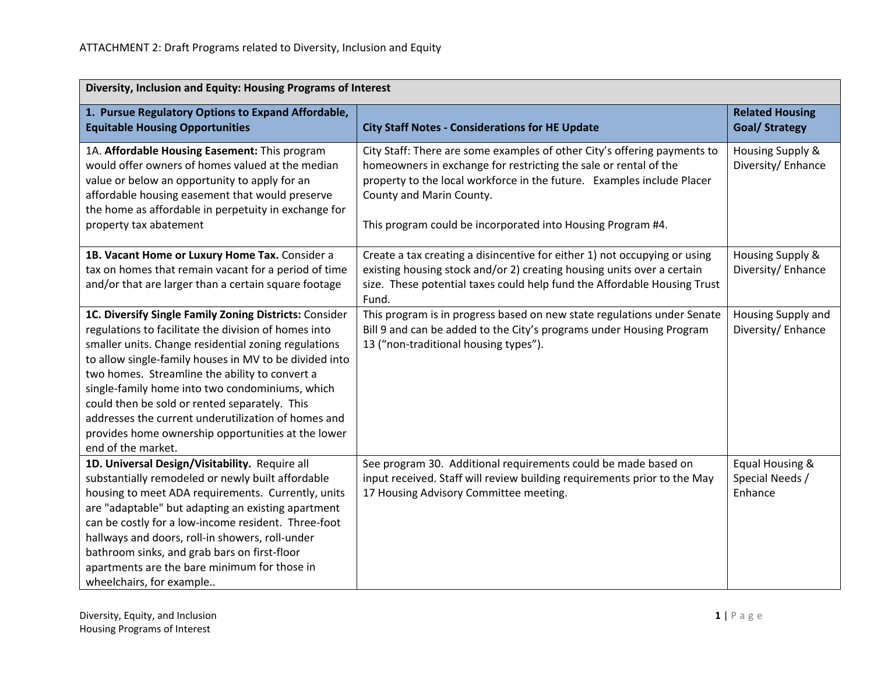| Diversity, Inclusion and Equity: Housing Programs of Interest                                                                                                                                                                                                                                                                                                                                                                                                                                                             |                                                                                                                                                                                                                                                                                                                   |                                                 |  |
|---------------------------------------------------------------------------------------------------------------------------------------------------------------------------------------------------------------------------------------------------------------------------------------------------------------------------------------------------------------------------------------------------------------------------------------------------------------------------------------------------------------------------|-------------------------------------------------------------------------------------------------------------------------------------------------------------------------------------------------------------------------------------------------------------------------------------------------------------------|-------------------------------------------------|--|
| 1. Pursue Regulatory Options to Expand Affordable,<br><b>Equitable Housing Opportunities</b>                                                                                                                                                                                                                                                                                                                                                                                                                              | <b>City Staff Notes - Considerations for HE Update</b>                                                                                                                                                                                                                                                            | <b>Related Housing</b><br><b>Goal/ Strategy</b> |  |
| 1A. Affordable Housing Easement: This program<br>would offer owners of homes valued at the median<br>value or below an opportunity to apply for an<br>affordable housing easement that would preserve<br>the home as affordable in perpetuity in exchange for<br>property tax abatement                                                                                                                                                                                                                                   | City Staff: There are some examples of other City's offering payments to<br>homeowners in exchange for restricting the sale or rental of the<br>property to the local workforce in the future. Examples include Placer<br>County and Marin County.<br>This program could be incorporated into Housing Program #4. | Housing Supply &<br>Diversity/Enhance           |  |
| 1B. Vacant Home or Luxury Home Tax. Consider a<br>tax on homes that remain vacant for a period of time<br>and/or that are larger than a certain square footage                                                                                                                                                                                                                                                                                                                                                            | Create a tax creating a disincentive for either 1) not occupying or using<br>existing housing stock and/or 2) creating housing units over a certain<br>size. These potential taxes could help fund the Affordable Housing Trust<br>Fund.                                                                          | Housing Supply &<br>Diversity/Enhance           |  |
| 1C. Diversify Single Family Zoning Districts: Consider<br>regulations to facilitate the division of homes into<br>smaller units. Change residential zoning regulations<br>to allow single-family houses in MV to be divided into<br>two homes. Streamline the ability to convert a<br>single-family home into two condominiums, which<br>could then be sold or rented separately. This<br>addresses the current underutilization of homes and<br>provides home ownership opportunities at the lower<br>end of the market. | This program is in progress based on new state regulations under Senate<br>Bill 9 and can be added to the City's programs under Housing Program<br>13 ("non-traditional housing types").                                                                                                                          | Housing Supply and<br>Diversity/Enhance         |  |
| 1D. Universal Design/Visitability. Require all<br>substantially remodeled or newly built affordable<br>housing to meet ADA requirements. Currently, units<br>are "adaptable" but adapting an existing apartment<br>can be costly for a low-income resident. Three-foot<br>hallways and doors, roll-in showers, roll-under<br>bathroom sinks, and grab bars on first-floor<br>apartments are the bare minimum for those in<br>wheelchairs, for example                                                                     | See program 30. Additional requirements could be made based on<br>input received. Staff will review building requirements prior to the May<br>17 Housing Advisory Committee meeting.                                                                                                                              | Equal Housing &<br>Special Needs /<br>Enhance   |  |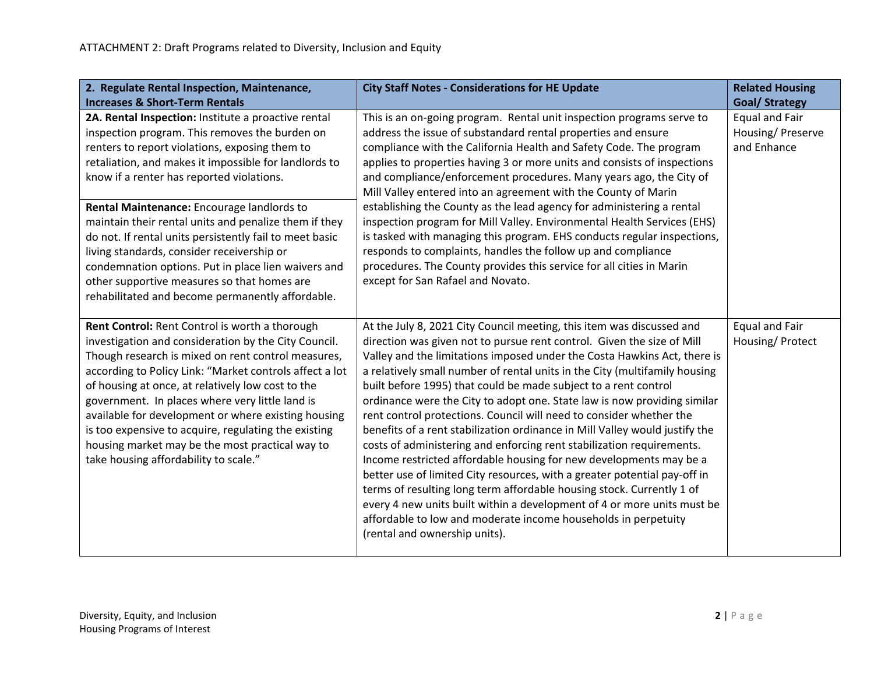| 2. Regulate Rental Inspection, Maintenance,<br><b>Increases &amp; Short-Term Rentals</b>                                                                                                                                                                                                                                                                                                                                                                                                                                                                                                                                                | <b>City Staff Notes - Considerations for HE Update</b>                                                                                                                                                                                                                                                                                                                                                                                                                                                                                                                                                                                                                                                                                                                                                                                                                                                                                                                                                                                                                                            | <b>Related Housing</b><br><b>Goal/ Strategy</b>    |
|-----------------------------------------------------------------------------------------------------------------------------------------------------------------------------------------------------------------------------------------------------------------------------------------------------------------------------------------------------------------------------------------------------------------------------------------------------------------------------------------------------------------------------------------------------------------------------------------------------------------------------------------|---------------------------------------------------------------------------------------------------------------------------------------------------------------------------------------------------------------------------------------------------------------------------------------------------------------------------------------------------------------------------------------------------------------------------------------------------------------------------------------------------------------------------------------------------------------------------------------------------------------------------------------------------------------------------------------------------------------------------------------------------------------------------------------------------------------------------------------------------------------------------------------------------------------------------------------------------------------------------------------------------------------------------------------------------------------------------------------------------|----------------------------------------------------|
| 2A. Rental Inspection: Institute a proactive rental<br>inspection program. This removes the burden on<br>renters to report violations, exposing them to<br>retaliation, and makes it impossible for landlords to<br>know if a renter has reported violations.<br>Rental Maintenance: Encourage landlords to<br>maintain their rental units and penalize them if they<br>do not. If rental units persistently fail to meet basic<br>living standards, consider receivership or<br>condemnation options. Put in place lien waivers and<br>other supportive measures so that homes are<br>rehabilitated and become permanently affordable. | This is an on-going program. Rental unit inspection programs serve to<br>address the issue of substandard rental properties and ensure<br>compliance with the California Health and Safety Code. The program<br>applies to properties having 3 or more units and consists of inspections<br>and compliance/enforcement procedures. Many years ago, the City of<br>Mill Valley entered into an agreement with the County of Marin<br>establishing the County as the lead agency for administering a rental<br>inspection program for Mill Valley. Environmental Health Services (EHS)<br>is tasked with managing this program. EHS conducts regular inspections,<br>responds to complaints, handles the follow up and compliance<br>procedures. The County provides this service for all cities in Marin<br>except for San Rafael and Novato.                                                                                                                                                                                                                                                      | Equal and Fair<br>Housing/ Preserve<br>and Enhance |
| Rent Control: Rent Control is worth a thorough<br>investigation and consideration by the City Council.<br>Though research is mixed on rent control measures,<br>according to Policy Link: "Market controls affect a lot<br>of housing at once, at relatively low cost to the<br>government. In places where very little land is<br>available for development or where existing housing<br>is too expensive to acquire, regulating the existing<br>housing market may be the most practical way to<br>take housing affordability to scale."                                                                                              | At the July 8, 2021 City Council meeting, this item was discussed and<br>direction was given not to pursue rent control. Given the size of Mill<br>Valley and the limitations imposed under the Costa Hawkins Act, there is<br>a relatively small number of rental units in the City (multifamily housing<br>built before 1995) that could be made subject to a rent control<br>ordinance were the City to adopt one. State law is now providing similar<br>rent control protections. Council will need to consider whether the<br>benefits of a rent stabilization ordinance in Mill Valley would justify the<br>costs of administering and enforcing rent stabilization requirements.<br>Income restricted affordable housing for new developments may be a<br>better use of limited City resources, with a greater potential pay-off in<br>terms of resulting long term affordable housing stock. Currently 1 of<br>every 4 new units built within a development of 4 or more units must be<br>affordable to low and moderate income households in perpetuity<br>(rental and ownership units). | Equal and Fair<br>Housing/Protect                  |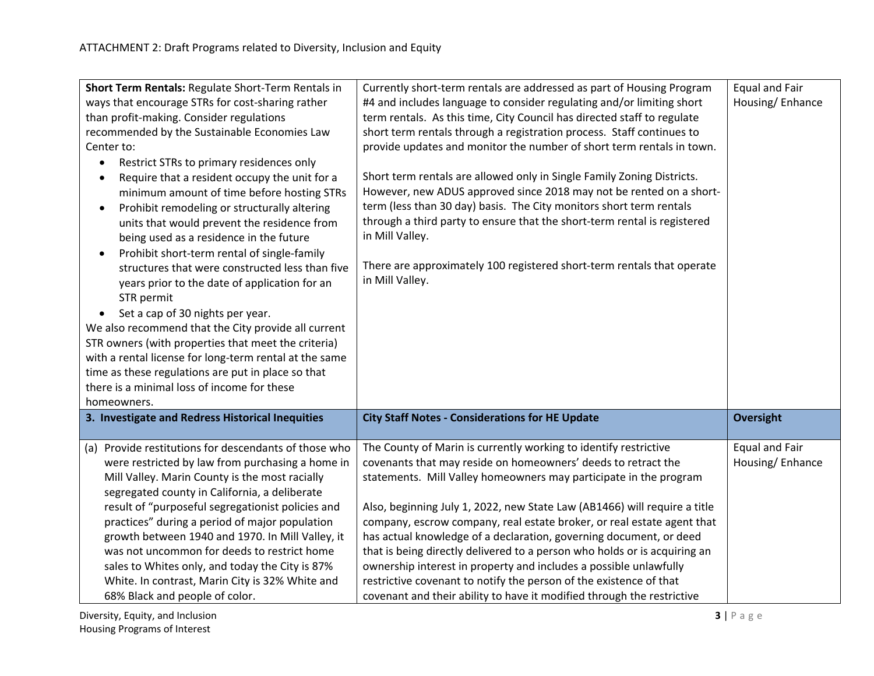| Short Term Rentals: Regulate Short-Term Rentals in<br>ways that encourage STRs for cost-sharing rather<br>than profit-making. Consider regulations<br>recommended by the Sustainable Economies Law<br>Center to:<br>Restrict STRs to primary residences only<br>$\bullet$<br>Require that a resident occupy the unit for a<br>minimum amount of time before hosting STRs<br>Prohibit remodeling or structurally altering<br>$\bullet$<br>units that would prevent the residence from<br>being used as a residence in the future<br>Prohibit short-term rental of single-family<br>structures that were constructed less than five<br>years prior to the date of application for an<br>STR permit<br>Set a cap of 30 nights per year.<br>We also recommend that the City provide all current<br>STR owners (with properties that meet the criteria)<br>with a rental license for long-term rental at the same<br>time as these regulations are put in place so that<br>there is a minimal loss of income for these<br>homeowners. | Currently short-term rentals are addressed as part of Housing Program<br>#4 and includes language to consider regulating and/or limiting short<br>term rentals. As this time, City Council has directed staff to regulate<br>short term rentals through a registration process. Staff continues to<br>provide updates and monitor the number of short term rentals in town.<br>Short term rentals are allowed only in Single Family Zoning Districts.<br>However, new ADUS approved since 2018 may not be rented on a short-<br>term (less than 30 day) basis. The City monitors short term rentals<br>through a third party to ensure that the short-term rental is registered<br>in Mill Valley.<br>There are approximately 100 registered short-term rentals that operate<br>in Mill Valley. | <b>Equal and Fair</b><br>Housing/Enhance |
|----------------------------------------------------------------------------------------------------------------------------------------------------------------------------------------------------------------------------------------------------------------------------------------------------------------------------------------------------------------------------------------------------------------------------------------------------------------------------------------------------------------------------------------------------------------------------------------------------------------------------------------------------------------------------------------------------------------------------------------------------------------------------------------------------------------------------------------------------------------------------------------------------------------------------------------------------------------------------------------------------------------------------------|-------------------------------------------------------------------------------------------------------------------------------------------------------------------------------------------------------------------------------------------------------------------------------------------------------------------------------------------------------------------------------------------------------------------------------------------------------------------------------------------------------------------------------------------------------------------------------------------------------------------------------------------------------------------------------------------------------------------------------------------------------------------------------------------------|------------------------------------------|
| 3. Investigate and Redress Historical Inequities                                                                                                                                                                                                                                                                                                                                                                                                                                                                                                                                                                                                                                                                                                                                                                                                                                                                                                                                                                                 | <b>City Staff Notes - Considerations for HE Update</b>                                                                                                                                                                                                                                                                                                                                                                                                                                                                                                                                                                                                                                                                                                                                          | <b>Oversight</b>                         |
| (a) Provide restitutions for descendants of those who<br>were restricted by law from purchasing a home in<br>Mill Valley. Marin County is the most racially<br>segregated county in California, a deliberate<br>result of "purposeful segregationist policies and<br>practices" during a period of major population<br>growth between 1940 and 1970. In Mill Valley, it<br>was not uncommon for deeds to restrict home<br>sales to Whites only, and today the City is 87%<br>White. In contrast, Marin City is 32% White and<br>68% Black and people of color.                                                                                                                                                                                                                                                                                                                                                                                                                                                                   | The County of Marin is currently working to identify restrictive<br>covenants that may reside on homeowners' deeds to retract the<br>statements. Mill Valley homeowners may participate in the program<br>Also, beginning July 1, 2022, new State Law (AB1466) will require a title<br>company, escrow company, real estate broker, or real estate agent that<br>has actual knowledge of a declaration, governing document, or deed<br>that is being directly delivered to a person who holds or is acquiring an<br>ownership interest in property and includes a possible unlawfully<br>restrictive covenant to notify the person of the existence of that<br>covenant and their ability to have it modified through the restrictive                                                           | <b>Equal and Fair</b><br>Housing/Enhance |

**Diversity, Equity, and Inclusion 3** | P a g e Housing Programs of Interest